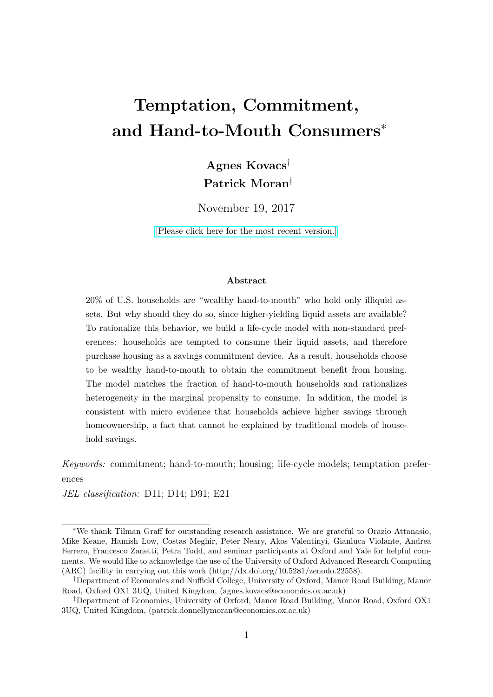# Temptation, Commitment, and Hand-to-Mouth Consumers<sup>∗</sup>

Agnes Kovacs† Patrick Moran‡

November 19, 2017

[\[Please click here for the most recent version.\]](https://docs.google.com/viewer?a=v&pid=sites&srcid=ZGVmYXVsdGRvbWFpbnxhZ25lc2tvdmFjczEzfGd4OjZhZjRlNWMzMGU0YmIwYzU)

#### Abstract

20% of U.S. households are "wealthy hand-to-mouth" who hold only illiquid assets. But why should they do so, since higher-yielding liquid assets are available? To rationalize this behavior, we build a life-cycle model with non-standard preferences: households are tempted to consume their liquid assets, and therefore purchase housing as a savings commitment device. As a result, households choose to be wealthy hand-to-mouth to obtain the commitment benefit from housing. The model matches the fraction of hand-to-mouth households and rationalizes heterogeneity in the marginal propensity to consume. In addition, the model is consistent with micro evidence that households achieve higher savings through homeownership, a fact that cannot be explained by traditional models of household savings.

Keywords: commitment; hand-to-mouth; housing; life-cycle models; temptation preferences

JEL classification: D11; D14; D91; E21

<sup>∗</sup>We thank Tilman Graff for outstanding research assistance. We are grateful to Orazio Attanasio, Mike Keane, Hamish Low, Costas Meghir, Peter Neary, Akos Valentinyi, Gianluca Violante, Andrea Ferrero, Francesco Zanetti, Petra Todd, and seminar participants at Oxford and Yale for helpful comments. We would like to acknowledge the use of the University of Oxford Advanced Research Computing (ARC) facility in carrying out this work (http://dx.doi.org/10.5281/zenodo.22558).

<sup>†</sup>Department of Economics and Nuffield College, University of Oxford, Manor Road Building, Manor Road, Oxford OX1 3UQ, United Kingdom, (agnes.kovacs@economics.ox.ac.uk)

<sup>‡</sup>Department of Economics, University of Oxford, Manor Road Building, Manor Road, Oxford OX1 3UQ, United Kingdom, (patrick.donnellymoran@economics.ox.ac.uk)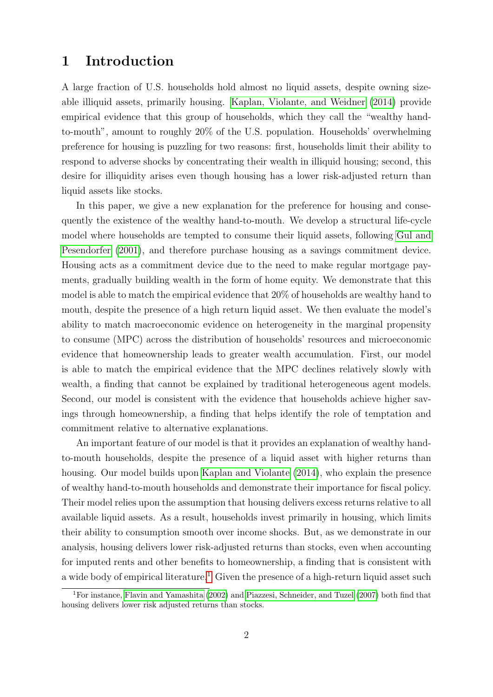## 1 Introduction

A large fraction of U.S. households hold almost no liquid assets, despite owning sizeable illiquid assets, primarily housing. [Kaplan, Violante, and Weidner](#page-44-0) [\(2014\)](#page-44-0) provide empirical evidence that this group of households, which they call the "wealthy handto-mouth", amount to roughly 20% of the U.S. population. Households' overwhelming preference for housing is puzzling for two reasons: first, households limit their ability to respond to adverse shocks by concentrating their wealth in illiquid housing; second, this desire for illiquidity arises even though housing has a lower risk-adjusted return than liquid assets like stocks.

In this paper, we give a new explanation for the preference for housing and consequently the existence of the wealthy hand-to-mouth. We develop a structural life-cycle model where households are tempted to consume their liquid assets, following [Gul and](#page-44-1) [Pesendorfer](#page-44-1) [\(2001\)](#page-44-1), and therefore purchase housing as a savings commitment device. Housing acts as a commitment device due to the need to make regular mortgage payments, gradually building wealth in the form of home equity. We demonstrate that this model is able to match the empirical evidence that 20% of households are wealthy hand to mouth, despite the presence of a high return liquid asset. We then evaluate the model's ability to match macroeconomic evidence on heterogeneity in the marginal propensity to consume (MPC) across the distribution of households' resources and microeconomic evidence that homeownership leads to greater wealth accumulation. First, our model is able to match the empirical evidence that the MPC declines relatively slowly with wealth, a finding that cannot be explained by traditional heterogeneous agent models. Second, our model is consistent with the evidence that households achieve higher savings through homeownership, a finding that helps identify the role of temptation and commitment relative to alternative explanations.

An important feature of our model is that it provides an explanation of wealthy handto-mouth households, despite the presence of a liquid asset with higher returns than housing. Our model builds upon [Kaplan and Violante](#page-44-2) [\(2014\)](#page-44-2), who explain the presence of wealthy hand-to-mouth households and demonstrate their importance for fiscal policy. Their model relies upon the assumption that housing delivers excess returns relative to all available liquid assets. As a result, households invest primarily in housing, which limits their ability to consumption smooth over income shocks. But, as we demonstrate in our analysis, housing delivers lower risk-adjusted returns than stocks, even when accounting for imputed rents and other benefits to homeownership, a finding that is consistent with a wide body of empirical literature.<sup>[1](#page-1-0)</sup> Given the presence of a high-return liquid asset such

<span id="page-1-0"></span><sup>1</sup>For instance, [Flavin and Yamashita](#page-43-0) [\(2002\)](#page-43-0) and [Piazzesi, Schneider, and Tuzel](#page-45-0) [\(2007\)](#page-45-0) both find that housing delivers lower risk adjusted returns than stocks.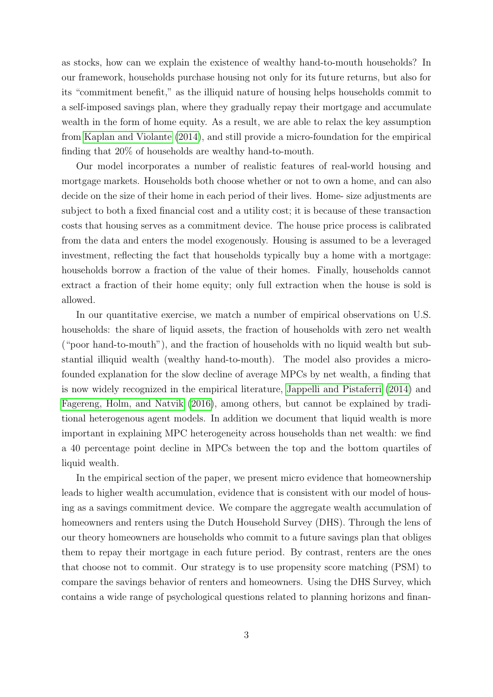as stocks, how can we explain the existence of wealthy hand-to-mouth households? In our framework, households purchase housing not only for its future returns, but also for its "commitment benefit," as the illiquid nature of housing helps households commit to a self-imposed savings plan, where they gradually repay their mortgage and accumulate wealth in the form of home equity. As a result, we are able to relax the key assumption from [Kaplan and Violante](#page-44-2) [\(2014\)](#page-44-2), and still provide a micro-foundation for the empirical finding that 20% of households are wealthy hand-to-mouth.

Our model incorporates a number of realistic features of real-world housing and mortgage markets. Households both choose whether or not to own a home, and can also decide on the size of their home in each period of their lives. Home- size adjustments are subject to both a fixed financial cost and a utility cost; it is because of these transaction costs that housing serves as a commitment device. The house price process is calibrated from the data and enters the model exogenously. Housing is assumed to be a leveraged investment, reflecting the fact that households typically buy a home with a mortgage: households borrow a fraction of the value of their homes. Finally, households cannot extract a fraction of their home equity; only full extraction when the house is sold is allowed.

In our quantitative exercise, we match a number of empirical observations on U.S. households: the share of liquid assets, the fraction of households with zero net wealth ("poor hand-to-mouth"), and the fraction of households with no liquid wealth but substantial illiquid wealth (wealthy hand-to-mouth). The model also provides a microfounded explanation for the slow decline of average MPCs by net wealth, a finding that is now widely recognized in the empirical literature, [Jappelli and Pistaferri](#page-44-3) [\(2014\)](#page-44-3) and [Fagereng, Holm, and Natvik](#page-43-1) [\(2016\)](#page-43-1), among others, but cannot be explained by traditional heterogenous agent models. In addition we document that liquid wealth is more important in explaining MPC heterogeneity across households than net wealth: we find a 40 percentage point decline in MPCs between the top and the bottom quartiles of liquid wealth.

In the empirical section of the paper, we present micro evidence that homeownership leads to higher wealth accumulation, evidence that is consistent with our model of housing as a savings commitment device. We compare the aggregate wealth accumulation of homeowners and renters using the Dutch Household Survey (DHS). Through the lens of our theory homeowners are households who commit to a future savings plan that obliges them to repay their mortgage in each future period. By contrast, renters are the ones that choose not to commit. Our strategy is to use propensity score matching (PSM) to compare the savings behavior of renters and homeowners. Using the DHS Survey, which contains a wide range of psychological questions related to planning horizons and finan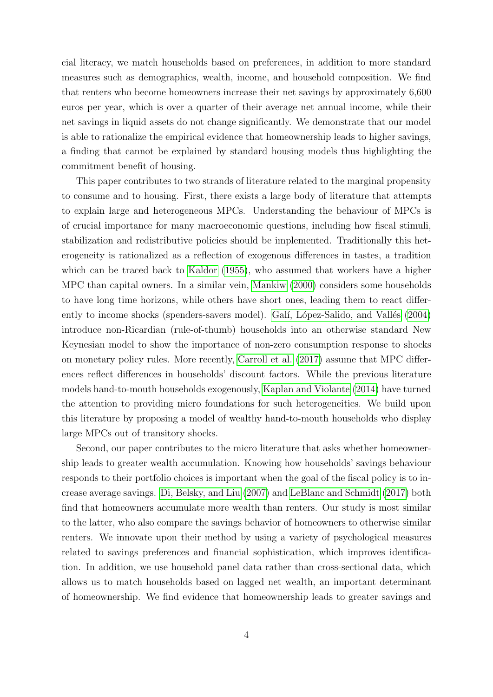cial literacy, we match households based on preferences, in addition to more standard measures such as demographics, wealth, income, and household composition. We find that renters who become homeowners increase their net savings by approximately 6,600 euros per year, which is over a quarter of their average net annual income, while their net savings in liquid assets do not change significantly. We demonstrate that our model is able to rationalize the empirical evidence that homeownership leads to higher savings, a finding that cannot be explained by standard housing models thus highlighting the commitment benefit of housing.

This paper contributes to two strands of literature related to the marginal propensity to consume and to housing. First, there exists a large body of literature that attempts to explain large and heterogeneous MPCs. Understanding the behaviour of MPCs is of crucial importance for many macroeconomic questions, including how fiscal stimuli, stabilization and redistributive policies should be implemented. Traditionally this heterogeneity is rationalized as a reflection of exogenous differences in tastes, a tradition which can be traced back to [Kaldor](#page-44-4) [\(1955\)](#page-44-4), who assumed that workers have a higher MPC than capital owners. In a similar vein, [Mankiw](#page-45-1) [\(2000\)](#page-45-1) considers some households to have long time horizons, while others have short ones, leading them to react differ-ently to income shocks (spenders-savers model). Galí, López-Salido, and Vallés [\(2004\)](#page-43-2) introduce non-Ricardian (rule-of-thumb) households into an otherwise standard New Keynesian model to show the importance of non-zero consumption response to shocks on monetary policy rules. More recently, [Carroll et al.](#page-43-3) [\(2017\)](#page-43-3) assume that MPC differences reflect differences in households' discount factors. While the previous literature models hand-to-mouth households exogenously, [Kaplan and Violante](#page-44-2) [\(2014\)](#page-44-2) have turned the attention to providing micro foundations for such heterogeneities. We build upon this literature by proposing a model of wealthy hand-to-mouth households who display large MPCs out of transitory shocks.

Second, our paper contributes to the micro literature that asks whether homeownership leads to greater wealth accumulation. Knowing how households' savings behaviour responds to their portfolio choices is important when the goal of the fiscal policy is to increase average savings. [Di, Belsky, and Liu](#page-43-4) [\(2007\)](#page-43-4) and [LeBlanc and Schmidt](#page-45-2) [\(2017\)](#page-45-2) both find that homeowners accumulate more wealth than renters. Our study is most similar to the latter, who also compare the savings behavior of homeowners to otherwise similar renters. We innovate upon their method by using a variety of psychological measures related to savings preferences and financial sophistication, which improves identification. In addition, we use household panel data rather than cross-sectional data, which allows us to match households based on lagged net wealth, an important determinant of homeownership. We find evidence that homeownership leads to greater savings and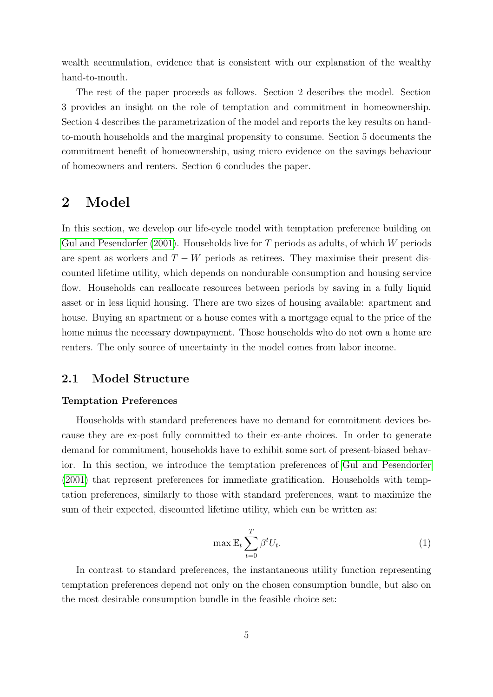wealth accumulation, evidence that is consistent with our explanation of the wealthy hand-to-mouth.

The rest of the paper proceeds as follows. Section 2 describes the model. Section 3 provides an insight on the role of temptation and commitment in homeownership. Section 4 describes the parametrization of the model and reports the key results on handto-mouth households and the marginal propensity to consume. Section 5 documents the commitment benefit of homeownership, using micro evidence on the savings behaviour of homeowners and renters. Section 6 concludes the paper.

## 2 Model

In this section, we develop our life-cycle model with temptation preference building on [Gul and Pesendorfer](#page-44-1)  $(2001)$ . Households live for T periods as adults, of which W periods are spent as workers and  $T - W$  periods as retirees. They maximise their present discounted lifetime utility, which depends on nondurable consumption and housing service flow. Households can reallocate resources between periods by saving in a fully liquid asset or in less liquid housing. There are two sizes of housing available: apartment and house. Buying an apartment or a house comes with a mortgage equal to the price of the home minus the necessary downpayment. Those households who do not own a home are renters. The only source of uncertainty in the model comes from labor income.

### 2.1 Model Structure

#### Temptation Preferences

Households with standard preferences have no demand for commitment devices because they are ex-post fully committed to their ex-ante choices. In order to generate demand for commitment, households have to exhibit some sort of present-biased behavior. In this section, we introduce the temptation preferences of [Gul and Pesendorfer](#page-44-1) [\(2001\)](#page-44-1) that represent preferences for immediate gratification. Households with temptation preferences, similarly to those with standard preferences, want to maximize the sum of their expected, discounted lifetime utility, which can be written as:

$$
\max \mathbb{E}_t \sum_{t=0}^T \beta^t U_t. \tag{1}
$$

In contrast to standard preferences, the instantaneous utility function representing temptation preferences depend not only on the chosen consumption bundle, but also on the most desirable consumption bundle in the feasible choice set: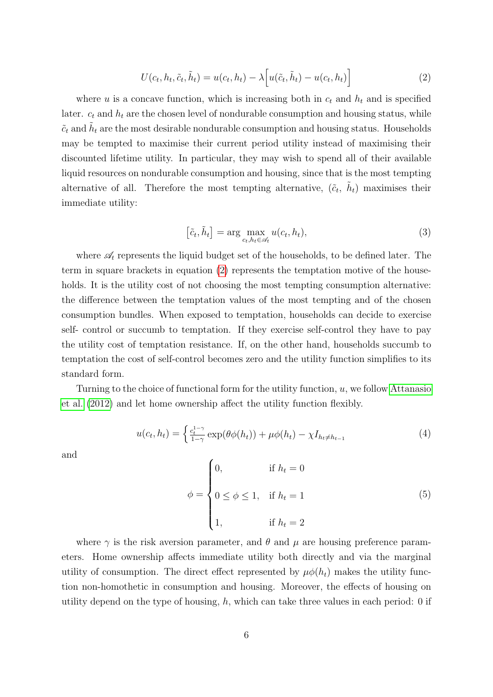<span id="page-5-0"></span>
$$
U(c_t, h_t, \tilde{c}_t, \tilde{h}_t) = u(c_t, h_t) - \lambda \left[ u(\tilde{c}_t, \tilde{h}_t) - u(c_t, h_t) \right]
$$
\n(2)

where u is a concave function, which is increasing both in  $c_t$  and  $h_t$  and is specified later.  $c_t$  and  $h_t$  are the chosen level of nondurable consumption and housing status, while  $\tilde{c}_t$  and  $\tilde{h}_t$  are the most desirable nondurable consumption and housing status. Households may be tempted to maximise their current period utility instead of maximising their discounted lifetime utility. In particular, they may wish to spend all of their available liquid resources on nondurable consumption and housing, since that is the most tempting alternative of all. Therefore the most tempting alternative,  $(\tilde{c}_t, \tilde{h}_t)$  maximises their immediate utility:

$$
[\tilde{c}_t, \tilde{h}_t] = \arg \max_{c_t, h_t \in \mathscr{A}_t} u(c_t, h_t), \tag{3}
$$

where  $\mathscr{A}_t$  represents the liquid budget set of the households, to be defined later. The term in square brackets in equation [\(2\)](#page-5-0) represents the temptation motive of the households. It is the utility cost of not choosing the most tempting consumption alternative: the difference between the temptation values of the most tempting and of the chosen consumption bundles. When exposed to temptation, households can decide to exercise self- control or succumb to temptation. If they exercise self-control they have to pay the utility cost of temptation resistance. If, on the other hand, households succumb to temptation the cost of self-control becomes zero and the utility function simplifies to its standard form.

Turning to the choice of functional form for the utility function, u, we follow [Attanasio](#page-42-0) [et al.](#page-42-0) [\(2012\)](#page-42-0) and let home ownership affect the utility function flexibly.

<span id="page-5-1"></span>
$$
u(c_t, h_t) = \begin{cases} \frac{c_t^{1-\gamma}}{1-\gamma} \exp(\theta \phi(h_t)) + \mu \phi(h_t) - \chi I_{h_t \neq h_{t-1}} \end{cases}
$$
(4)

and

<span id="page-5-2"></span>
$$
\phi = \begin{cases} 0, & \text{if } h_t = 0 \\ 0 \le \phi \le 1, & \text{if } h_t = 1 \\ 1, & \text{if } h_t = 2 \end{cases} \tag{5}
$$

where  $\gamma$  is the risk aversion parameter, and  $\theta$  and  $\mu$  are housing preference parameters. Home ownership affects immediate utility both directly and via the marginal utility of consumption. The direct effect represented by  $\mu \phi(h_t)$  makes the utility function non-homothetic in consumption and housing. Moreover, the effects of housing on utility depend on the type of housing,  $h$ , which can take three values in each period: 0 if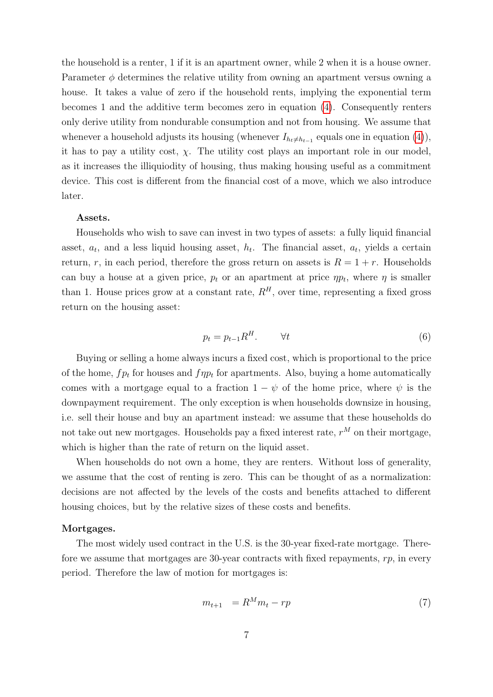the household is a renter, 1 if it is an apartment owner, while 2 when it is a house owner. Parameter  $\phi$  determines the relative utility from owning an apartment versus owning a house. It takes a value of zero if the household rents, implying the exponential term becomes 1 and the additive term becomes zero in equation [\(4\)](#page-5-1). Consequently renters only derive utility from nondurable consumption and not from housing. We assume that whenever a household adjusts its housing (whenever  $I_{h_t \neq h_{t-1}}$  equals one in equation [\(4\)](#page-5-1)), it has to pay a utility cost,  $\chi$ . The utility cost plays an important role in our model, as it increases the illiquiodity of housing, thus making housing useful as a commitment device. This cost is different from the financial cost of a move, which we also introduce later.

#### Assets.

Households who wish to save can invest in two types of assets: a fully liquid financial asset,  $a_t$ , and a less liquid housing asset,  $h_t$ . The financial asset,  $a_t$ , yields a certain return, r, in each period, therefore the gross return on assets is  $R = 1 + r$ . Households can buy a house at a given price,  $p_t$  or an apartment at price  $\eta p_t$ , where  $\eta$  is smaller than 1. House prices grow at a constant rate,  $R^H$ , over time, representing a fixed gross return on the housing asset:

$$
p_t = p_{t-1} R^H. \qquad \forall t \tag{6}
$$

Buying or selling a home always incurs a fixed cost, which is proportional to the price of the home,  $fp_t$  for houses and  $fp_t$  for apartments. Also, buying a home automatically comes with a mortgage equal to a fraction  $1 - \psi$  of the home price, where  $\psi$  is the downpayment requirement. The only exception is when households downsize in housing, i.e. sell their house and buy an apartment instead: we assume that these households do not take out new mortgages. Households pay a fixed interest rate,  $r^M$  on their mortgage, which is higher than the rate of return on the liquid asset.

When households do not own a home, they are renters. Without loss of generality, we assume that the cost of renting is zero. This can be thought of as a normalization: decisions are not affected by the levels of the costs and benefits attached to different housing choices, but by the relative sizes of these costs and benefits.

#### Mortgages.

The most widely used contract in the U.S. is the 30-year fixed-rate mortgage. Therefore we assume that mortgages are 30-year contracts with fixed repayments,  $rp$ , in every period. Therefore the law of motion for mortgages is:

$$
m_{t+1} = R^M m_t - rp \tag{7}
$$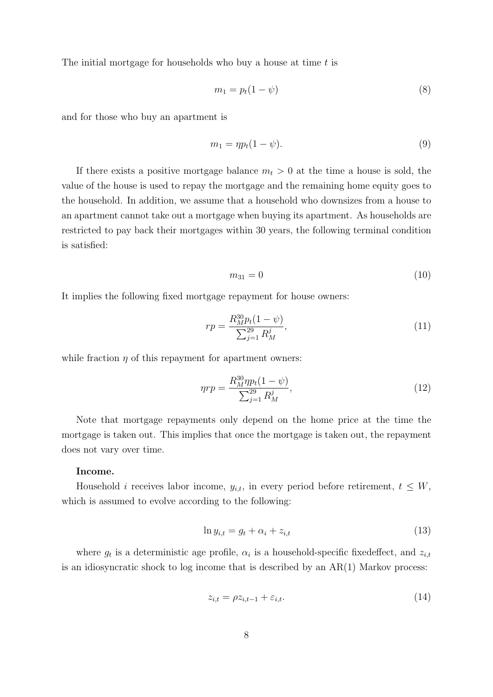The initial mortgage for households who buy a house at time  $t$  is

$$
m_1 = p_t(1 - \psi) \tag{8}
$$

and for those who buy an apartment is

$$
m_1 = \eta p_t (1 - \psi). \tag{9}
$$

If there exists a positive mortgage balance  $m_t > 0$  at the time a house is sold, the value of the house is used to repay the mortgage and the remaining home equity goes to the household. In addition, we assume that a household who downsizes from a house to an apartment cannot take out a mortgage when buying its apartment. As households are restricted to pay back their mortgages within 30 years, the following terminal condition is satisfied:

$$
m_{31} = 0 \tag{10}
$$

It implies the following fixed mortgage repayment for house owners:

$$
rp = \frac{R_M^{30} p_t (1 - \psi)}{\sum_{j=1}^{29} R_M^j},\tag{11}
$$

while fraction  $\eta$  of this repayment for apartment owners:

$$
\eta r p = \frac{R_M^{30} \eta p_t (1 - \psi)}{\sum_{j=1}^{29} R_M^j},\tag{12}
$$

Note that mortgage repayments only depend on the home price at the time the mortgage is taken out. This implies that once the mortgage is taken out, the repayment does not vary over time.

#### Income.

Household *i* receives labor income,  $y_{i,t}$ , in every period before retirement,  $t \leq W$ , which is assumed to evolve according to the following:

$$
\ln y_{i,t} = g_t + \alpha_i + z_{i,t} \tag{13}
$$

where  $g_t$  is a deterministic age profile,  $\alpha_i$  is a household-specific fixedeffect, and  $z_{i,t}$ is an idiosyncratic shock to log income that is described by an AR(1) Markov process:

$$
z_{i,t} = \rho z_{i,t-1} + \varepsilon_{i,t}.\tag{14}
$$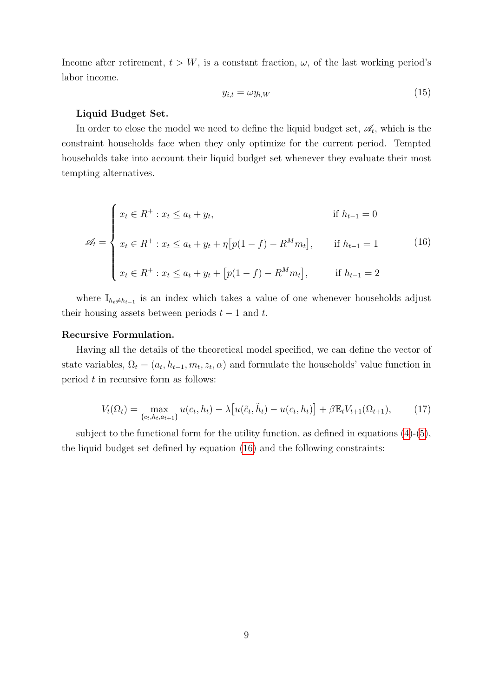Income after retirement,  $t > W$ , is a constant fraction,  $\omega$ , of the last working period's labor income.

$$
y_{i,t} = \omega y_{i,W} \tag{15}
$$

#### Liquid Budget Set.

In order to close the model we need to define the liquid budget set,  $\mathscr{A}_t$ , which is the constraint households face when they only optimize for the current period. Tempted households take into account their liquid budget set whenever they evaluate their most tempting alternatives.

<span id="page-8-0"></span>
$$
\mathscr{A}_t = \begin{cases}\nx_t \in R^+ : x_t \le a_t + y_t, & \text{if } h_{t-1} = 0 \\
x_t \in R^+ : x_t \le a_t + y_t + \eta \left[ p(1-f) - R^M m_t \right], & \text{if } h_{t-1} = 1 \\
x_t \in R^+ : x_t \le a_t + y_t + \left[ p(1-f) - R^M m_t \right], & \text{if } h_{t-1} = 2\n\end{cases}\n\tag{16}
$$

where  $\mathbb{I}_{h_t\neq h_{t-1}}$  is an index which takes a value of one whenever households adjust their housing assets between periods  $t - 1$  and t.

#### Recursive Formulation.

Having all the details of the theoretical model specified, we can define the vector of state variables,  $\Omega_t = (a_t, h_{t-1}, m_t, z_t, \alpha)$  and formulate the households' value function in period  $t$  in recursive form as follows:

$$
V_t(\Omega_t) = \max_{\{c_t, h_t, a_{t+1}\}} u(c_t, h_t) - \lambda \big[ u(\tilde{c}_t, \tilde{h}_t) - u(c_t, h_t) \big] + \beta \mathbb{E}_t V_{t+1}(\Omega_{t+1}), \tag{17}
$$

subject to the functional form for the utility function, as defined in equations [\(4\)](#page-5-1)-[\(5\)](#page-5-2), the liquid budget set defined by equation [\(16\)](#page-8-0) and the following constraints: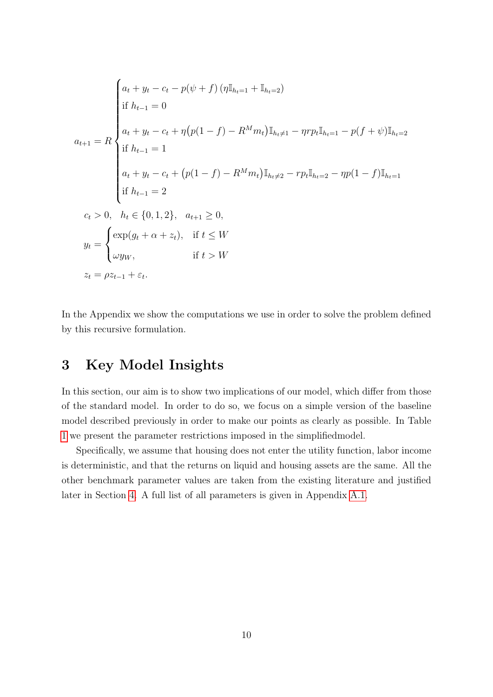$$
a_{t} + y_{t} - c_{t} - p(\psi + f) (\eta \mathbb{I}_{h_{t-1}} + \mathbb{I}_{h_{t-2}})
$$
  
\n
$$
a_{t+1} = R \begin{cases} a_{t} + y_{t} - c_{t} + \eta (p(1-f) - R^{M} m_{t}) \mathbb{I}_{h_{t} \neq 1} - \eta r p_{t} \mathbb{I}_{h_{t} = 1} - p(f + \psi) \mathbb{I}_{h_{t} = 2} \\ \text{if } h_{t-1} = 1 \\ a_{t} + y_{t} - c_{t} + (p(1-f) - R^{M} m_{t}) \mathbb{I}_{h_{t} \neq 2} - r p_{t} \mathbb{I}_{h_{t} = 2} - \eta p(1-f) \mathbb{I}_{h_{t} = 1} \\ \text{if } h_{t-1} = 2 \\ c_{t} > 0, \quad h_{t} \in \{0, 1, 2\}, \quad a_{t+1} \ge 0, \\ y_{t} = \begin{cases} \exp(g_{t} + \alpha + z_{t}), & \text{if } t \le W \\ \omega y_{W}, & \text{if } t > W \end{cases} \\ z_{t} = \rho z_{t-1} + \varepsilon_{t}. \end{cases}
$$

In the Appendix we show the computations we use in order to solve the problem defined by this recursive formulation.

## 3 Key Model Insights

In this section, our aim is to show two implications of our model, which differ from those of the standard model. In order to do so, we focus on a simple version of the baseline model described previously in order to make our points as clearly as possible. In Table [1](#page-10-0) we present the parameter restrictions imposed in the simplifiedmodel.

Specifically, we assume that housing does not enter the utility function, labor income is deterministic, and that the returns on liquid and housing assets are the same. All the other benchmark parameter values are taken from the existing literature and justified later in Section [4.](#page-14-0) A full list of all parameters is given in Appendix [A.1.](#page-37-0)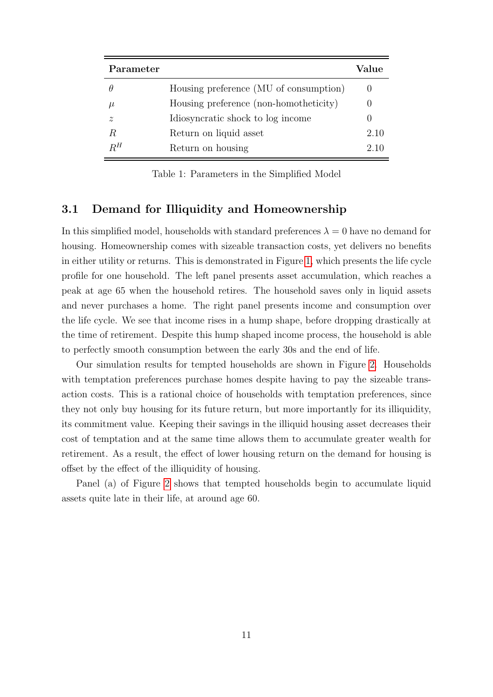<span id="page-10-0"></span>

| Parameter   |                                        | Value |
|-------------|----------------------------------------|-------|
|             | Housing preference (MU of consumption) |       |
| $\mu$       | Housing preference (non-homotheticity) |       |
| $\tilde{z}$ | Idiosyncratic shock to log income      |       |
| R           | Return on liquid asset                 | 2.10  |
| $R^H$       | Return on housing                      | 2.10  |

Table 1: Parameters in the Simplified Model

### 3.1 Demand for Illiquidity and Homeownership

In this simplified model, households with standard preferences  $\lambda = 0$  have no demand for housing. Homeownership comes with sizeable transaction costs, yet delivers no benefits in either utility or returns. This is demonstrated in Figure [1,](#page-11-0) which presents the life cycle profile for one household. The left panel presents asset accumulation, which reaches a peak at age 65 when the household retires. The household saves only in liquid assets and never purchases a home. The right panel presents income and consumption over the life cycle. We see that income rises in a hump shape, before dropping drastically at the time of retirement. Despite this hump shaped income process, the household is able to perfectly smooth consumption between the early 30s and the end of life.

Our simulation results for tempted households are shown in Figure [2.](#page-11-1) Households with temptation preferences purchase homes despite having to pay the sizeable transaction costs. This is a rational choice of households with temptation preferences, since they not only buy housing for its future return, but more importantly for its illiquidity, its commitment value. Keeping their savings in the illiquid housing asset decreases their cost of temptation and at the same time allows them to accumulate greater wealth for retirement. As a result, the effect of lower housing return on the demand for housing is offset by the effect of the illiquidity of housing.

Panel (a) of Figure [2](#page-11-1) shows that tempted households begin to accumulate liquid assets quite late in their life, at around age 60.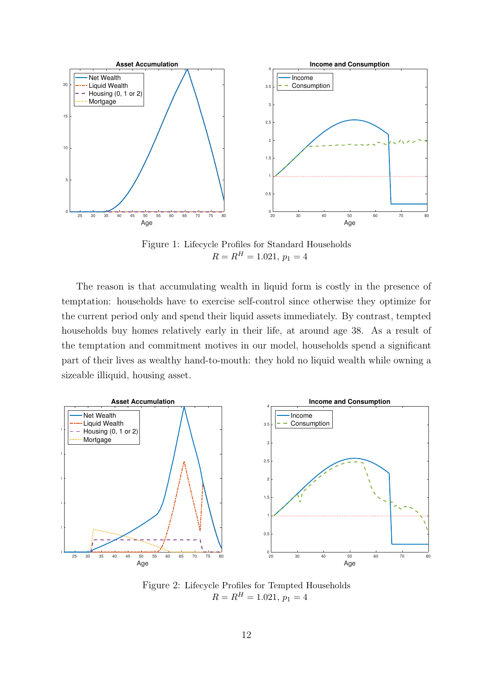<span id="page-11-0"></span>

Figure 1: Lifecycle Profiles for Standard Households  $R = R^H = 1.021, p_1 = 4$ 

The reason is that accumulating wealth in liquid form is costly in the presence of temptation: households have to exercise self-control since otherwise they optimize for the current period only and spend their liquid assets immediately. By contrast, tempted households buy homes relatively early in their life, at around age 38. As a result of the temptation and commitment motives in our model, households spend a significant part of their lives as wealthy hand-to-mouth: they hold no liquid wealth while owning a sizeable illiquid, housing asset.

<span id="page-11-1"></span>

Figure 2: Lifecycle Profiles for Tempted Households  $R = R^H = 1.021, p_1 = 4$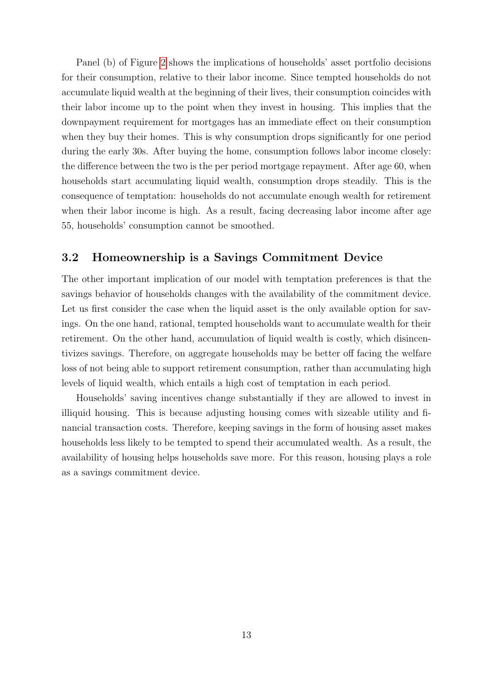Panel (b) of Figure [2](#page-11-1) shows the implications of households' asset portfolio decisions for their consumption, relative to their labor income. Since tempted households do not accumulate liquid wealth at the beginning of their lives, their consumption coincides with their labor income up to the point when they invest in housing. This implies that the downpayment requirement for mortgages has an immediate effect on their consumption when they buy their homes. This is why consumption drops significantly for one period during the early 30s. After buying the home, consumption follows labor income closely: the difference between the two is the per period mortgage repayment. After age 60, when households start accumulating liquid wealth, consumption drops steadily. This is the consequence of temptation: households do not accumulate enough wealth for retirement when their labor income is high. As a result, facing decreasing labor income after age 55, households' consumption cannot be smoothed.

### 3.2 Homeownership is a Savings Commitment Device

The other important implication of our model with temptation preferences is that the savings behavior of households changes with the availability of the commitment device. Let us first consider the case when the liquid asset is the only available option for savings. On the one hand, rational, tempted households want to accumulate wealth for their retirement. On the other hand, accumulation of liquid wealth is costly, which disincentivizes savings. Therefore, on aggregate households may be better off facing the welfare loss of not being able to support retirement consumption, rather than accumulating high levels of liquid wealth, which entails a high cost of temptation in each period.

Households' saving incentives change substantially if they are allowed to invest in illiquid housing. This is because adjusting housing comes with sizeable utility and financial transaction costs. Therefore, keeping savings in the form of housing asset makes households less likely to be tempted to spend their accumulated wealth. As a result, the availability of housing helps households save more. For this reason, housing plays a role as a savings commitment device.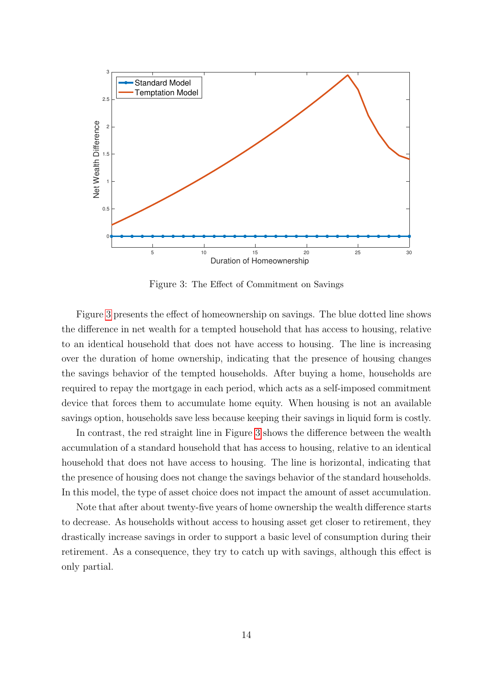<span id="page-13-0"></span>

Figure 3: The Effect of Commitment on Savings

Figure [3](#page-13-0) presents the effect of homeownership on savings. The blue dotted line shows the difference in net wealth for a tempted household that has access to housing, relative to an identical household that does not have access to housing. The line is increasing over the duration of home ownership, indicating that the presence of housing changes the savings behavior of the tempted households. After buying a home, households are required to repay the mortgage in each period, which acts as a self-imposed commitment device that forces them to accumulate home equity. When housing is not an available savings option, households save less because keeping their savings in liquid form is costly.

In contrast, the red straight line in Figure [3](#page-13-0) shows the difference between the wealth accumulation of a standard household that has access to housing, relative to an identical household that does not have access to housing. The line is horizontal, indicating that the presence of housing does not change the savings behavior of the standard households. In this model, the type of asset choice does not impact the amount of asset accumulation.

Note that after about twenty-five years of home ownership the wealth difference starts to decrease. As households without access to housing asset get closer to retirement, they drastically increase savings in order to support a basic level of consumption during their retirement. As a consequence, they try to catch up with savings, although this effect is only partial.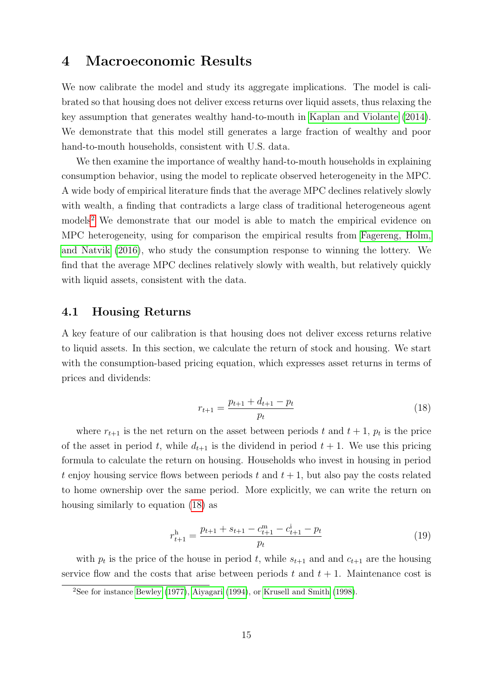## <span id="page-14-0"></span>4 Macroeconomic Results

We now calibrate the model and study its aggregate implications. The model is calibrated so that housing does not deliver excess returns over liquid assets, thus relaxing the key assumption that generates wealthy hand-to-mouth in [Kaplan and Violante](#page-44-2) [\(2014\)](#page-44-2). We demonstrate that this model still generates a large fraction of wealthy and poor hand-to-mouth households, consistent with U.S. data.

We then examine the importance of wealthy hand-to-mouth households in explaining consumption behavior, using the model to replicate observed heterogeneity in the MPC. A wide body of empirical literature finds that the average MPC declines relatively slowly with wealth, a finding that contradicts a large class of traditional heterogeneous agent models<sup>[2](#page-14-1)</sup> We demonstrate that our model is able to match the empirical evidence on MPC heterogeneity, using for comparison the empirical results from [Fagereng, Holm,](#page-43-1) [and Natvik](#page-43-1) [\(2016\)](#page-43-1), who study the consumption response to winning the lottery. We find that the average MPC declines relatively slowly with wealth, but relatively quickly with liquid assets, consistent with the data.

### <span id="page-14-4"></span>4.1 Housing Returns

A key feature of our calibration is that housing does not deliver excess returns relative to liquid assets. In this section, we calculate the return of stock and housing. We start with the consumption-based pricing equation, which expresses asset returns in terms of prices and dividends:

<span id="page-14-2"></span>
$$
r_{t+1} = \frac{p_{t+1} + d_{t+1} - p_t}{p_t} \tag{18}
$$

where  $r_{t+1}$  is the net return on the asset between periods t and  $t + 1$ ,  $p_t$  is the price of the asset in period t, while  $d_{t+1}$  is the dividend in period  $t + 1$ . We use this pricing formula to calculate the return on housing. Households who invest in housing in period t enjoy housing service flows between periods t and  $t + 1$ , but also pay the costs related to home ownership over the same period. More explicitly, we can write the return on housing similarly to equation [\(18\)](#page-14-2) as

<span id="page-14-3"></span>
$$
r_{t+1}^{\mathrm{h}} = \frac{p_{t+1} + s_{t+1} - c_{t+1}^{\mathrm{m}} - c_{t+1}^{\mathrm{i}} - p_t}{p_t}
$$
\n
$$
(19)
$$

with  $p_t$  is the price of the house in period t, while  $s_{t+1}$  and and  $c_{t+1}$  are the housing service flow and the costs that arise between periods t and  $t + 1$ . Maintenance cost is

<span id="page-14-1"></span><sup>2</sup>See for instance [Bewley](#page-42-1) [\(1977\)](#page-42-1), [Aiyagari](#page-42-2) [\(1994\)](#page-42-2), or [Krusell and Smith](#page-45-3) [\(1998\)](#page-45-3).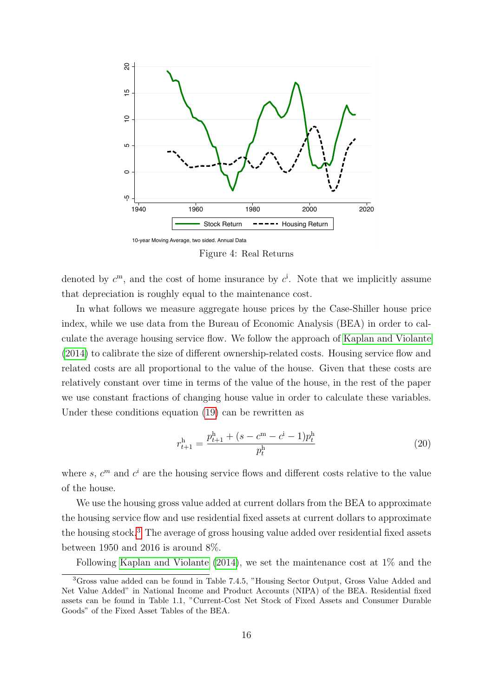<span id="page-15-1"></span>

Figure 4: Real Returns

denoted by  $c^{\mathrm{m}}$ , and the cost of home insurance by  $c^{\mathrm{i}}$ . Note that we implicitly assume that depreciation is roughly equal to the maintenance cost.

In what follows we measure aggregate house prices by the Case-Shiller house price index, while we use data from the Bureau of Economic Analysis (BEA) in order to calculate the average housing service flow. We follow the approach of [Kaplan and Violante](#page-44-2) [\(2014\)](#page-44-2) to calibrate the size of different ownership-related costs. Housing service flow and related costs are all proportional to the value of the house. Given that these costs are relatively constant over time in terms of the value of the house, in the rest of the paper we use constant fractions of changing house value in order to calculate these variables. Under these conditions equation [\(19\)](#page-14-3) can be rewritten as

$$
r_{t+1}^{\mathrm{h}} = \frac{p_{t+1}^{\mathrm{h}} + (s - c^{\mathrm{m}} - c^{\mathrm{i}} - 1)p_t^{\mathrm{h}}}{p_t^{\mathrm{h}}} \tag{20}
$$

where s,  $c^m$  and  $c^i$  are the housing service flows and different costs relative to the value of the house.

We use the housing gross value added at current dollars from the BEA to approximate the housing service flow and use residential fixed assets at current dollars to approximate the housing stock.[3](#page-15-0) The average of gross housing value added over residential fixed assets between 1950 and 2016 is around 8%.

<span id="page-15-0"></span>Following [Kaplan and Violante](#page-44-2) [\(2014\)](#page-44-2), we set the maintenance cost at 1% and the

<sup>3</sup>Gross value added can be found in Table 7.4.5, "Housing Sector Output, Gross Value Added and Net Value Added" in National Income and Product Accounts (NIPA) of the BEA. Residential fixed assets can be found in Table 1.1, "Current-Cost Net Stock of Fixed Assets and Consumer Durable Goods" of the Fixed Asset Tables of the BEA.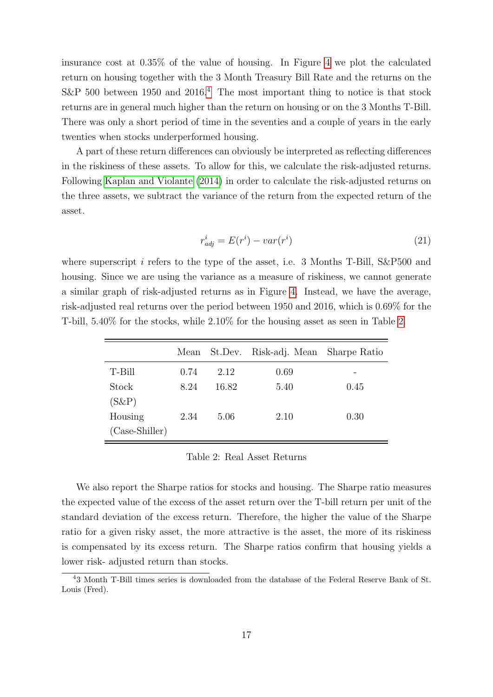insurance cost at 0.35% of the value of housing. In Figure [4](#page-15-1) we plot the calculated return on housing together with the 3 Month Treasury Bill Rate and the returns on the S&P 500 between 1950 and 2016.<sup>[4](#page-16-0)</sup> The most important thing to notice is that stock returns are in general much higher than the return on housing or on the 3 Months T-Bill. There was only a short period of time in the seventies and a couple of years in the early twenties when stocks underperformed housing.

A part of these return differences can obviously be interpreted as reflecting differences in the riskiness of these assets. To allow for this, we calculate the risk-adjusted returns. Following [Kaplan and Violante](#page-44-2) [\(2014\)](#page-44-2) in order to calculate the risk-adjusted returns on the three assets, we subtract the variance of the return from the expected return of the asset.

$$
r_{adj}^i = E(r^i) - var(r^i)
$$
\n<sup>(21)</sup>

where superscript i refers to the type of the asset, i.e. 3 Months T-Bill, S&P500 and housing. Since we are using the variance as a measure of riskiness, we cannot generate a similar graph of risk-adjusted returns as in Figure [4.](#page-15-1) Instead, we have the average, risk-adjusted real returns over the period between 1950 and 2016, which is 0.69% for the T-bill, 5.40% for the stocks, while 2.10% for the housing asset as seen in Table [2.](#page-16-1)

<span id="page-16-1"></span>

|                  |      |       | Mean St.Dev. Risk-adj. Mean | Sharpe Ratio |
|------------------|------|-------|-----------------------------|--------------|
| T-Bill           | 0.74 | 2.12  | 0.69                        |              |
| Stock            | 8.24 | 16.82 | 5.40                        | 0.45         |
| $(S\&P)$         |      |       |                             |              |
| Housing          | 2.34 | 5.06  | 2.10                        | 0.30         |
| $(Case-Shiller)$ |      |       |                             |              |

Table 2: Real Asset Returns

We also report the Sharpe ratios for stocks and housing. The Sharpe ratio measures the expected value of the excess of the asset return over the T-bill return per unit of the standard deviation of the excess return. Therefore, the higher the value of the Sharpe ratio for a given risky asset, the more attractive is the asset, the more of its riskiness is compensated by its excess return. The Sharpe ratios confirm that housing yields a lower risk- adjusted return than stocks.

<span id="page-16-0"></span><sup>4</sup>3 Month T-Bill times series is downloaded from the database of the Federal Reserve Bank of St. Louis (Fred).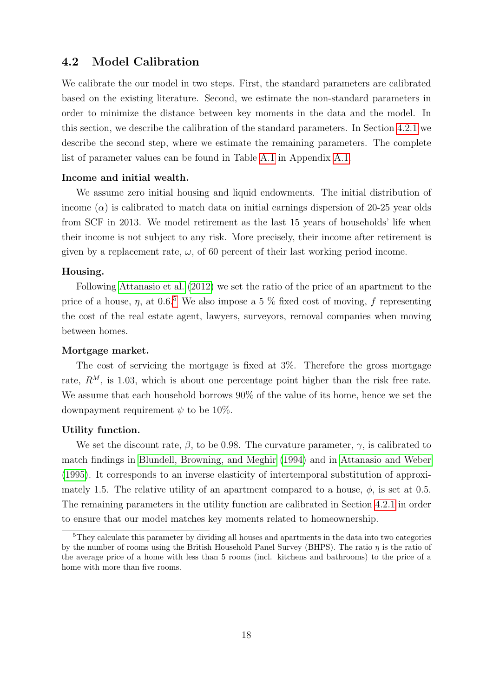## 4.2 Model Calibration

We calibrate the our model in two steps. First, the standard parameters are calibrated based on the existing literature. Second, we estimate the non-standard parameters in order to minimize the distance between key moments in the data and the model. In this section, we describe the calibration of the standard parameters. In Section [4.2.1](#page-18-0) we describe the second step, where we estimate the remaining parameters. The complete list of parameter values can be found in Table [A.1](#page-37-1) in Appendix [A.1.](#page-37-0)

#### Income and initial wealth.

We assume zero initial housing and liquid endowments. The initial distribution of income  $\alpha$  is calibrated to match data on initial earnings dispersion of 20-25 year olds from SCF in 2013. We model retirement as the last 15 years of households' life when their income is not subject to any risk. More precisely, their income after retirement is given by a replacement rate,  $\omega$ , of 60 percent of their last working period income.

#### Housing.

Following [Attanasio et al.](#page-42-0) [\(2012\)](#page-42-0) we set the ratio of the price of an apartment to the price of a house,  $\eta$ , at 0.6.<sup>[5](#page-17-0)</sup> We also impose a 5 % fixed cost of moving, f representing the cost of the real estate agent, lawyers, surveyors, removal companies when moving between homes.

#### Mortgage market.

The cost of servicing the mortgage is fixed at 3%. Therefore the gross mortgage rate,  $R^M$ , is 1.03, which is about one percentage point higher than the risk free rate. We assume that each household borrows 90% of the value of its home, hence we set the downpayment requirement  $\psi$  to be 10%.

#### Utility function.

We set the discount rate,  $\beta$ , to be 0.98. The curvature parameter,  $\gamma$ , is calibrated to match findings in [Blundell, Browning, and Meghir](#page-43-5) [\(1994\)](#page-43-5) and in [Attanasio and Weber](#page-42-3) [\(1995\)](#page-42-3). It corresponds to an inverse elasticity of intertemporal substitution of approximately 1.5. The relative utility of an apartment compared to a house,  $\phi$ , is set at 0.5. The remaining parameters in the utility function are calibrated in Section [4.2.1](#page-18-0) in order to ensure that our model matches key moments related to homeownership.

<span id="page-17-0"></span><sup>&</sup>lt;sup>5</sup>They calculate this parameter by dividing all houses and apartments in the data into two categories by the number of rooms using the British Household Panel Survey (BHPS). The ratio  $\eta$  is the ratio of the average price of a home with less than 5 rooms (incl. kitchens and bathrooms) to the price of a home with more than five rooms.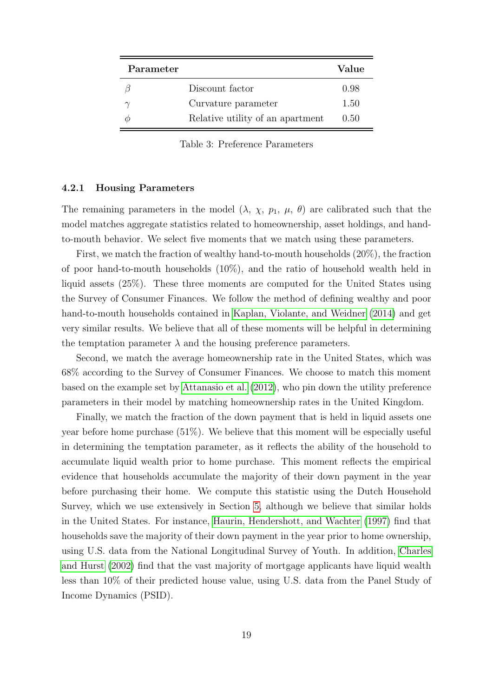| Parameter |                                  | Value  |
|-----------|----------------------------------|--------|
|           | Discount factor                  | 0.98   |
|           | Curvature parameter              | 1.50   |
|           | Relative utility of an apartment | (0.50) |

Table 3: Preference Parameters

#### <span id="page-18-0"></span>4.2.1 Housing Parameters

The remaining parameters in the model  $(\lambda, \chi, p_1, \mu, \theta)$  are calibrated such that the model matches aggregate statistics related to homeownership, asset holdings, and handto-mouth behavior. We select five moments that we match using these parameters.

First, we match the fraction of wealthy hand-to-mouth households (20%), the fraction of poor hand-to-mouth households (10%), and the ratio of household wealth held in liquid assets (25%). These three moments are computed for the United States using the Survey of Consumer Finances. We follow the method of defining wealthy and poor hand-to-mouth households contained in [Kaplan, Violante, and Weidner](#page-44-0) [\(2014\)](#page-44-0) and get very similar results. We believe that all of these moments will be helpful in determining the temptation parameter  $\lambda$  and the housing preference parameters.

Second, we match the average homeownership rate in the United States, which was 68% according to the Survey of Consumer Finances. We choose to match this moment based on the example set by [Attanasio et al.](#page-42-0) [\(2012\)](#page-42-0), who pin down the utility preference parameters in their model by matching homeownership rates in the United Kingdom.

Finally, we match the fraction of the down payment that is held in liquid assets one year before home purchase (51%). We believe that this moment will be especially useful in determining the temptation parameter, as it reflects the ability of the household to accumulate liquid wealth prior to home purchase. This moment reflects the empirical evidence that households accumulate the majority of their down payment in the year before purchasing their home. We compute this statistic using the Dutch Household Survey, which we use extensively in Section [5,](#page-25-0) although we believe that similar holds in the United States. For instance, [Haurin, Hendershott, and Wachter](#page-44-5) [\(1997\)](#page-44-5) find that households save the majority of their down payment in the year prior to home ownership, using U.S. data from the National Longitudinal Survey of Youth. In addition, [Charles](#page-43-6) [and Hurst](#page-43-6) [\(2002\)](#page-43-6) find that the vast majority of mortgage applicants have liquid wealth less than 10% of their predicted house value, using U.S. data from the Panel Study of Income Dynamics (PSID).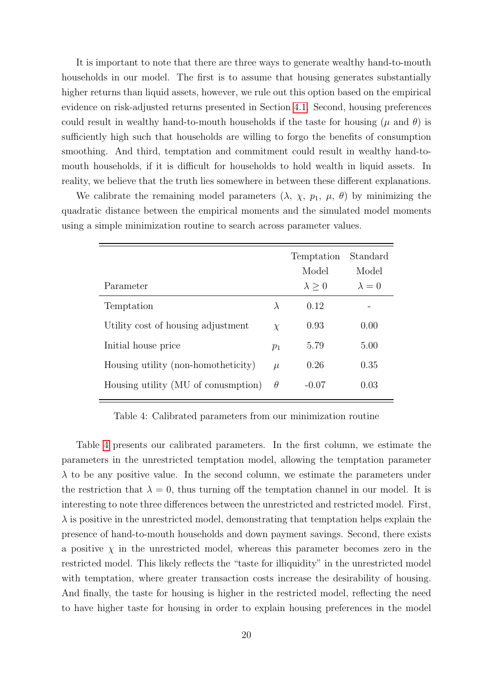It is important to note that there are three ways to generate wealthy hand-to-mouth households in our model. The first is to assume that housing generates substantially higher returns than liquid assets, however, we rule out this option based on the empirical evidence on risk-adjusted returns presented in Section [4.1.](#page-14-4) Second, housing preferences could result in wealthy hand-to-mouth households if the taste for housing  $(\mu$  and  $\theta)$  is sufficiently high such that households are willing to forgo the benefits of consumption smoothing. And third, temptation and commitment could result in wealthy hand-tomouth households, if it is difficult for households to hold wealth in liquid assets. In reality, we believe that the truth lies somewhere in between these different explanations.

We calibrate the remaining model parameters  $(\lambda, \chi, p_1, \mu, \theta)$  by minimizing the quadratic distance between the empirical moments and the simulated model moments using a simple minimization routine to search across parameter values.

<span id="page-19-0"></span>

| Parameter                           |           | Temptation<br>Model<br>$\lambda > 0$ | Standard<br>Model<br>$\lambda = 0$ |
|-------------------------------------|-----------|--------------------------------------|------------------------------------|
|                                     |           |                                      |                                    |
| Temptation                          | $\lambda$ | 0.12                                 |                                    |
| Utility cost of housing adjustment  | $\chi$    | 0.93                                 | 0.00                               |
| Initial house price                 | $p_1$     | 5.79                                 | 5.00                               |
| Housing utility (non-homotheticity) | $\mu$     | 0.26                                 | 0.35                               |
| Housing utility (MU of conumption)  | $\theta$  | $-0.07$                              | 0.03                               |

Table 4: Calibrated parameters from our minimization routine

Table [4](#page-19-0) presents our calibrated parameters. In the first column, we estimate the parameters in the unrestricted temptation model, allowing the temptation parameter  $\lambda$  to be any positive value. In the second column, we estimate the parameters under the restriction that  $\lambda = 0$ , thus turning off the temptation channel in our model. It is interesting to note three differences between the unrestricted and restricted model. First,  $\lambda$  is positive in the unrestricted model, demonstrating that temptation helps explain the presence of hand-to-mouth households and down payment savings. Second, there exists a positive  $\chi$  in the unrestricted model, whereas this parameter becomes zero in the restricted model. This likely reflects the "taste for illiquidity" in the unrestricted model with temptation, where greater transaction costs increase the desirability of housing. And finally, the taste for housing is higher in the restricted model, reflecting the need to have higher taste for housing in order to explain housing preferences in the model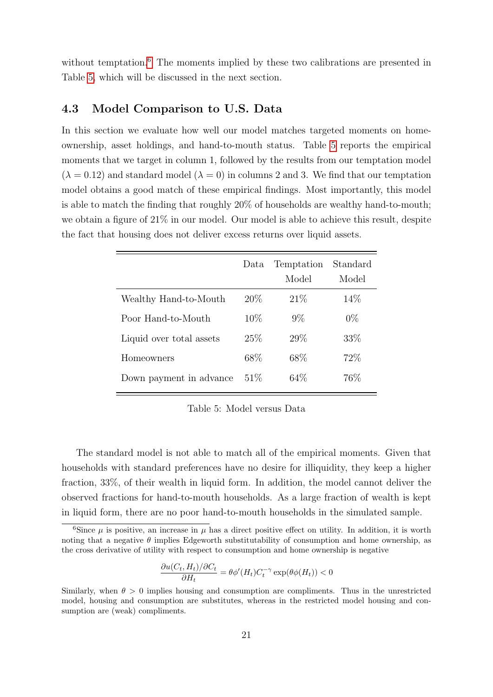without temptation.<sup>[6](#page-20-0)</sup> The moments implied by these two calibrations are presented in Table [5,](#page-20-1) which will be discussed in the next section.

### 4.3 Model Comparison to U.S. Data

In this section we evaluate how well our model matches targeted moments on homeownership, asset holdings, and hand-to-mouth status. Table [5](#page-20-1) reports the empirical moments that we target in column 1, followed by the results from our temptation model  $(\lambda = 0.12)$  and standard model  $(\lambda = 0)$  in columns 2 and 3. We find that our temptation model obtains a good match of these empirical findings. Most importantly, this model is able to match the finding that roughly 20% of households are wealthy hand-to-mouth; we obtain a figure of 21% in our model. Our model is able to achieve this result, despite the fact that housing does not deliver excess returns over liquid assets.

<span id="page-20-1"></span>

|                          | Data   | Temptation<br>Model | Standard<br>Model |
|--------------------------|--------|---------------------|-------------------|
| Wealthy Hand-to-Mouth    | 20\%   | 21%                 | 14\%              |
| Poor Hand-to-Mouth       | $10\%$ | $9\%$               | $0\%$             |
| Liquid over total assets | 25\%   | 29\%                | 33\%              |
| Homeowners               | 68\%   | 68\%                | 72\%              |
| Down payment in advance  | 51%    | 64\%                | 76\%              |

Table 5: Model versus Data

The standard model is not able to match all of the empirical moments. Given that households with standard preferences have no desire for illiquidity, they keep a higher fraction, 33%, of their wealth in liquid form. In addition, the model cannot deliver the observed fractions for hand-to-mouth households. As a large fraction of wealth is kept in liquid form, there are no poor hand-to-mouth households in the simulated sample.

$$
\frac{\partial u(C_t, H_t)/\partial C_t}{\partial H_t} = \theta \phi'(H_t) C_t^{-\gamma} \exp(\theta \phi(H_t)) < 0
$$

<span id="page-20-0"></span><sup>&</sup>lt;sup>6</sup>Since  $\mu$  is positive, an increase in  $\mu$  has a direct positive effect on utility. In addition, it is worth noting that a negative  $\theta$  implies Edgeworth substitutability of consumption and home ownership, as the cross derivative of utility with respect to consumption and home ownership is negative

Similarly, when  $\theta > 0$  implies housing and consumption are compliments. Thus in the unrestricted model, housing and consumption are substitutes, whereas in the restricted model housing and consumption are (weak) compliments.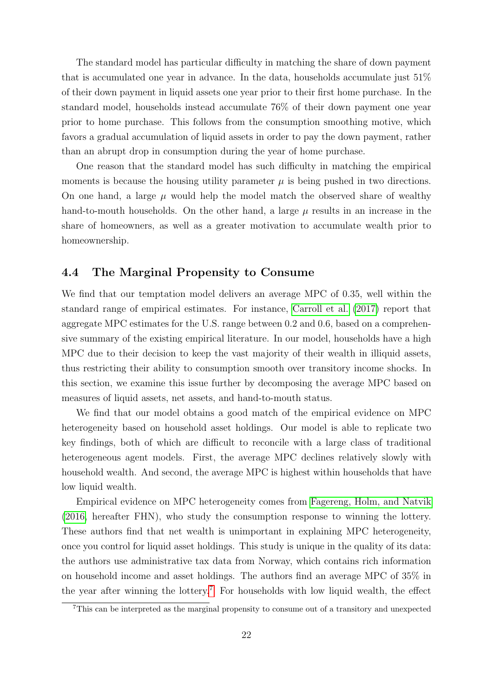The standard model has particular difficulty in matching the share of down payment that is accumulated one year in advance. In the data, households accumulate just 51% of their down payment in liquid assets one year prior to their first home purchase. In the standard model, households instead accumulate 76% of their down payment one year prior to home purchase. This follows from the consumption smoothing motive, which favors a gradual accumulation of liquid assets in order to pay the down payment, rather than an abrupt drop in consumption during the year of home purchase.

One reason that the standard model has such difficulty in matching the empirical moments is because the housing utility parameter  $\mu$  is being pushed in two directions. On one hand, a large  $\mu$  would help the model match the observed share of wealthy hand-to-mouth households. On the other hand, a large  $\mu$  results in an increase in the share of homeowners, as well as a greater motivation to accumulate wealth prior to homeownership.

### 4.4 The Marginal Propensity to Consume

We find that our temptation model delivers an average MPC of 0.35, well within the standard range of empirical estimates. For instance, [Carroll et al.](#page-43-3) [\(2017\)](#page-43-3) report that aggregate MPC estimates for the U.S. range between 0.2 and 0.6, based on a comprehensive summary of the existing empirical literature. In our model, households have a high MPC due to their decision to keep the vast majority of their wealth in illiquid assets, thus restricting their ability to consumption smooth over transitory income shocks. In this section, we examine this issue further by decomposing the average MPC based on measures of liquid assets, net assets, and hand-to-mouth status.

We find that our model obtains a good match of the empirical evidence on MPC heterogeneity based on household asset holdings. Our model is able to replicate two key findings, both of which are difficult to reconcile with a large class of traditional heterogeneous agent models. First, the average MPC declines relatively slowly with household wealth. And second, the average MPC is highest within households that have low liquid wealth.

Empirical evidence on MPC heterogeneity comes from [Fagereng, Holm, and Natvik](#page-43-1) [\(2016,](#page-43-1) hereafter FHN), who study the consumption response to winning the lottery. These authors find that net wealth is unimportant in explaining MPC heterogeneity, once you control for liquid asset holdings. This study is unique in the quality of its data: the authors use administrative tax data from Norway, which contains rich information on household income and asset holdings. The authors find an average MPC of 35% in the year after winning the lottery.[7](#page-21-0) For households with low liquid wealth, the effect

<span id="page-21-0"></span><sup>&</sup>lt;sup>7</sup>This can be interpreted as the marginal propensity to consume out of a transitory and unexpected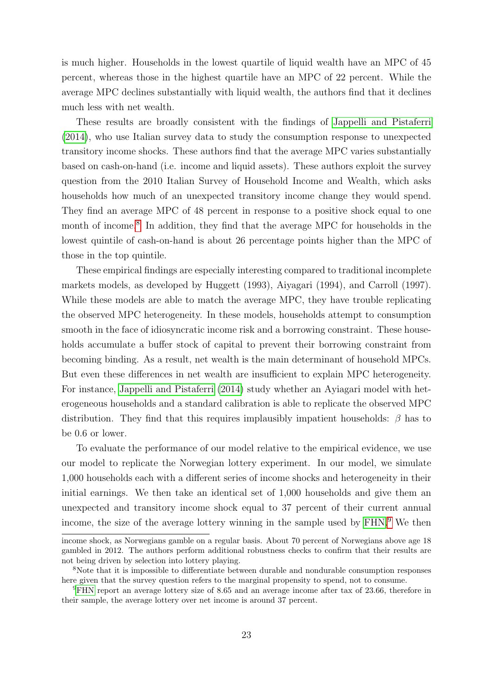is much higher. Households in the lowest quartile of liquid wealth have an MPC of 45 percent, whereas those in the highest quartile have an MPC of 22 percent. While the average MPC declines substantially with liquid wealth, the authors find that it declines much less with net wealth.

These results are broadly consistent with the findings of [Jappelli and Pistaferri](#page-44-3) [\(2014\)](#page-44-3), who use Italian survey data to study the consumption response to unexpected transitory income shocks. These authors find that the average MPC varies substantially based on cash-on-hand (i.e. income and liquid assets). These authors exploit the survey question from the 2010 Italian Survey of Household Income and Wealth, which asks households how much of an unexpected transitory income change they would spend. They find an average MPC of 48 percent in response to a positive shock equal to one month of income.<sup>[8](#page-22-0)</sup> In addition, they find that the average MPC for households in the lowest quintile of cash-on-hand is about 26 percentage points higher than the MPC of those in the top quintile.

These empirical findings are especially interesting compared to traditional incomplete markets models, as developed by Huggett (1993), Aiyagari (1994), and Carroll (1997). While these models are able to match the average MPC, they have trouble replicating the observed MPC heterogeneity. In these models, households attempt to consumption smooth in the face of idiosyncratic income risk and a borrowing constraint. These households accumulate a buffer stock of capital to prevent their borrowing constraint from becoming binding. As a result, net wealth is the main determinant of household MPCs. But even these differences in net wealth are insufficient to explain MPC heterogeneity. For instance, [Jappelli and Pistaferri](#page-44-3) [\(2014\)](#page-44-3) study whether an Ayiagari model with heterogeneous households and a standard calibration is able to replicate the observed MPC distribution. They find that this requires implausibly impatient households:  $\beta$  has to be 0.6 or lower.

To evaluate the performance of our model relative to the empirical evidence, we use our model to replicate the Norwegian lottery experiment. In our model, we simulate 1,000 households each with a different series of income shocks and heterogeneity in their initial earnings. We then take an identical set of 1,000 households and give them an unexpected and transitory income shock equal to 37 percent of their current annual income, the size of the average lottery winning in the sample used by [FHN.](#page-43-1)[9](#page-22-1) We then

income shock, as Norwegians gamble on a regular basis. About 70 percent of Norwegians above age 18 gambled in 2012. The authors perform additional robustness checks to confirm that their results are not being driven by selection into lottery playing.

<span id="page-22-0"></span><sup>&</sup>lt;sup>8</sup>Note that it is impossible to differentiate between durable and nondurable consumption responses here given that the survey question refers to the marginal propensity to spend, not to consume.

<span id="page-22-1"></span><sup>&</sup>lt;sup>9</sup>[FHN](#page-43-1) report an average lottery size of 8.65 and an average income after tax of 23.66, therefore in their sample, the average lottery over net income is around 37 percent.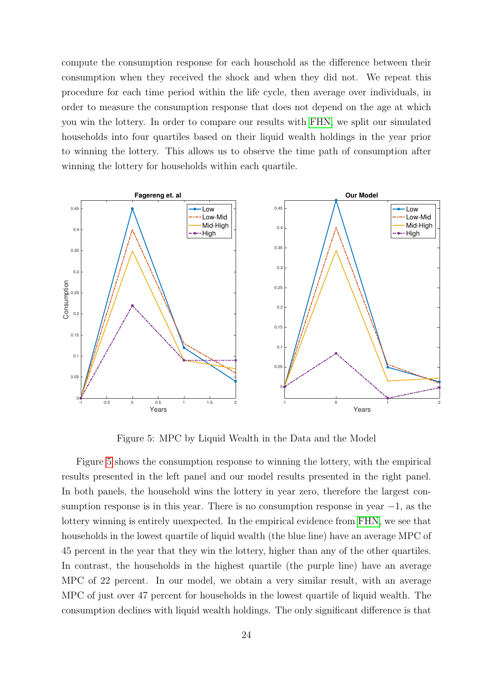compute the consumption response for each household as the difference between their consumption when they received the shock and when they did not. We repeat this procedure for each time period within the life cycle, then average over individuals, in order to measure the consumption response that does not depend on the age at which you win the lottery. In order to compare our results with [FHN,](#page-43-1) we split our simulated households into four quartiles based on their liquid wealth holdings in the year prior to winning the lottery. This allows us to observe the time path of consumption after winning the lottery for households within each quartile.

<span id="page-23-0"></span>

Figure 5: MPC by Liquid Wealth in the Data and the Model

Figure [5](#page-23-0) shows the consumption response to winning the lottery, with the empirical results presented in the left panel and our model results presented in the right panel. In both panels, the household wins the lottery in year zero, therefore the largest consumption response is in this year. There is no consumption response in year  $-1$ , as the lottery winning is entirely unexpected. In the empirical evidence from [FHN,](#page-43-1) we see that households in the lowest quartile of liquid wealth (the blue line) have an average MPC of 45 percent in the year that they win the lottery, higher than any of the other quartiles. In contrast, the households in the highest quartile (the purple line) have an average MPC of 22 percent. In our model, we obtain a very similar result, with an average MPC of just over 47 percent for households in the lowest quartile of liquid wealth. The consumption declines with liquid wealth holdings. The only significant difference is that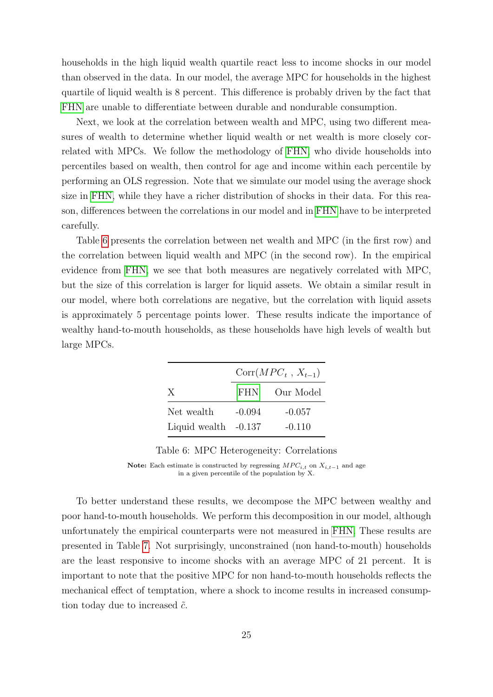households in the high liquid wealth quartile react less to income shocks in our model than observed in the data. In our model, the average MPC for households in the highest quartile of liquid wealth is 8 percent. This difference is probably driven by the fact that [FHN](#page-43-1) are unable to differentiate between durable and nondurable consumption.

Next, we look at the correlation between wealth and MPC, using two different measures of wealth to determine whether liquid wealth or net wealth is more closely correlated with MPCs. We follow the methodology of [FHN,](#page-43-1) who divide households into percentiles based on wealth, then control for age and income within each percentile by performing an OLS regression. Note that we simulate our model using the average shock size in [FHN,](#page-43-1) while they have a richer distribution of shocks in their data. For this reason, differences between the correlations in our model and in [FHN](#page-43-1) have to be interpreted carefully.

Table [6](#page-24-0) presents the correlation between net wealth and MPC (in the first row) and the correlation between liquid wealth and MPC (in the second row). In the empirical evidence from [FHN,](#page-43-1) we see that both measures are negatively correlated with MPC, but the size of this correlation is larger for liquid assets. We obtain a similar result in our model, where both correlations are negative, but the correlation with liquid assets is approximately 5 percentage points lower. These results indicate the importance of wealthy hand-to-mouth households, as these households have high levels of wealth but large MPCs.

<span id="page-24-0"></span>

|                        | $Corr(MPC_t, X_{t-1})$ |           |  |  |
|------------------------|------------------------|-----------|--|--|
| X                      | FHN –                  | Our Model |  |  |
| Net wealth             | $-0.094$               | $-0.057$  |  |  |
| Liquid wealth $-0.137$ |                        | $-0.110$  |  |  |

Table 6: MPC Heterogeneity: Correlations

To better understand these results, we decompose the MPC between wealthy and poor hand-to-mouth households. We perform this decomposition in our model, although unfortunately the empirical counterparts were not measured in [FHN.](#page-43-1) These results are presented in Table [7.](#page-25-1) Not surprisingly, unconstrained (non hand-to-mouth) households are the least responsive to income shocks with an average MPC of 21 percent. It is important to note that the positive MPC for non hand-to-mouth households reflects the mechanical effect of temptation, where a shock to income results in increased consumption today due to increased  $\tilde{c}$ .

Note: Each estimate is constructed by regressing  $MPC_{i,t}$  on  $X_{i,t-1}$  and age in a given percentile of the population by X.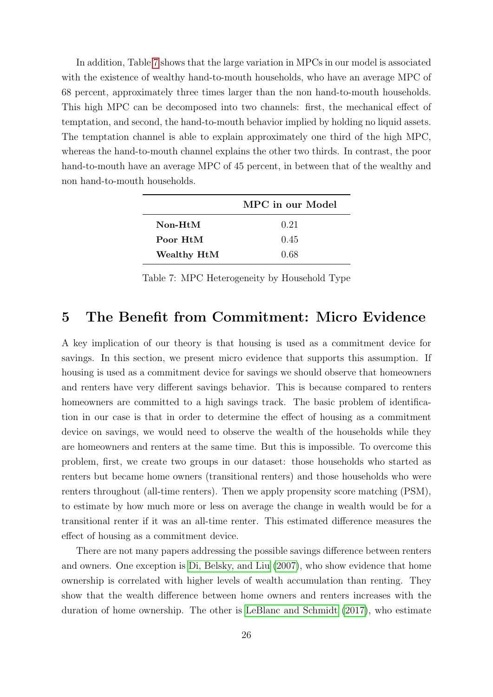In addition, Table [7](#page-25-1) shows that the large variation in MPCs in our model is associated with the existence of wealthy hand-to-mouth households, who have an average MPC of 68 percent, approximately three times larger than the non hand-to-mouth households. This high MPC can be decomposed into two channels: first, the mechanical effect of temptation, and second, the hand-to-mouth behavior implied by holding no liquid assets. The temptation channel is able to explain approximately one third of the high MPC, whereas the hand-to-mouth channel explains the other two thirds. In contrast, the poor hand-to-mouth have an average MPC of 45 percent, in between that of the wealthy and non hand-to-mouth households.

<span id="page-25-1"></span>

|                                          | MPC in our Model |
|------------------------------------------|------------------|
| $\mathbf{Non-}\mathbf{H}$ t $\mathbf{M}$ | 0.21             |
| Poor HtM                                 | 0.45             |
| Wealthy HtM                              | 0.68             |

Table 7: MPC Heterogeneity by Household Type

## <span id="page-25-0"></span>5 The Benefit from Commitment: Micro Evidence

A key implication of our theory is that housing is used as a commitment device for savings. In this section, we present micro evidence that supports this assumption. If housing is used as a commitment device for savings we should observe that homeowners and renters have very different savings behavior. This is because compared to renters homeowners are committed to a high savings track. The basic problem of identification in our case is that in order to determine the effect of housing as a commitment device on savings, we would need to observe the wealth of the households while they are homeowners and renters at the same time. But this is impossible. To overcome this problem, first, we create two groups in our dataset: those households who started as renters but became home owners (transitional renters) and those households who were renters throughout (all-time renters). Then we apply propensity score matching (PSM), to estimate by how much more or less on average the change in wealth would be for a transitional renter if it was an all-time renter. This estimated difference measures the effect of housing as a commitment device.

There are not many papers addressing the possible savings difference between renters and owners. One exception is [Di, Belsky, and Liu](#page-43-4) [\(2007\)](#page-43-4), who show evidence that home ownership is correlated with higher levels of wealth accumulation than renting. They show that the wealth difference between home owners and renters increases with the duration of home ownership. The other is [LeBlanc and Schmidt](#page-45-2) [\(2017\)](#page-45-2), who estimate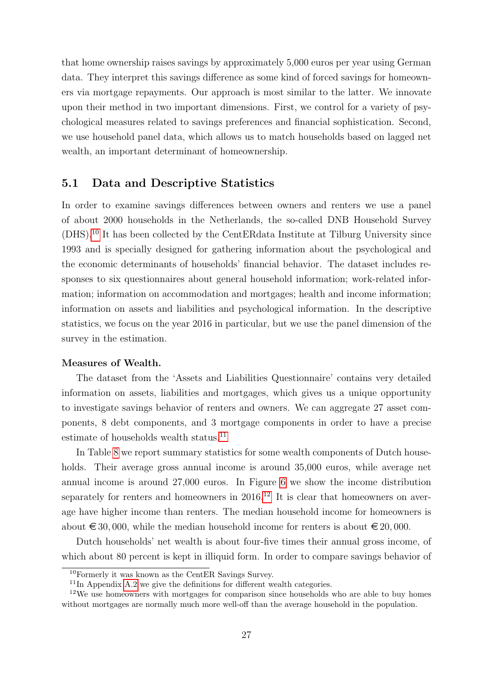that home ownership raises savings by approximately 5,000 euros per year using German data. They interpret this savings difference as some kind of forced savings for homeowners via mortgage repayments. Our approach is most similar to the latter. We innovate upon their method in two important dimensions. First, we control for a variety of psychological measures related to savings preferences and financial sophistication. Second, we use household panel data, which allows us to match households based on lagged net wealth, an important determinant of homeownership.

### <span id="page-26-3"></span>5.1 Data and Descriptive Statistics

In order to examine savings differences between owners and renters we use a panel of about 2000 households in the Netherlands, the so-called DNB Household Survey (DHS).[10](#page-26-0) It has been collected by the CentERdata Institute at Tilburg University since 1993 and is specially designed for gathering information about the psychological and the economic determinants of households' financial behavior. The dataset includes responses to six questionnaires about general household information; work-related information; information on accommodation and mortgages; health and income information; information on assets and liabilities and psychological information. In the descriptive statistics, we focus on the year 2016 in particular, but we use the panel dimension of the survey in the estimation.

#### Measures of Wealth.

The dataset from the 'Assets and Liabilities Questionnaire' contains very detailed information on assets, liabilities and mortgages, which gives us a unique opportunity to investigate savings behavior of renters and owners. We can aggregate 27 asset components, 8 debt components, and 3 mortgage components in order to have a precise estimate of households wealth status.<sup>[11](#page-26-1)</sup>

In Table [8](#page-27-0) we report summary statistics for some wealth components of Dutch households. Their average gross annual income is around 35,000 euros, while average net annual income is around 27,000 euros. In Figure [6](#page-27-1) we show the income distribution separately for renters and homeowners in  $2016<sup>12</sup>$  $2016<sup>12</sup>$  $2016<sup>12</sup>$  It is clear that homeowners on average have higher income than renters. The median household income for homeowners is about  $\epsilon$  30,000, while the median household income for renters is about  $\epsilon$  20,000.

Dutch households' net wealth is about four-five times their annual gross income, of which about 80 percent is kept in illiquid form. In order to compare savings behavior of

<span id="page-26-0"></span><sup>10</sup>Formerly it was known as the CentER Savings Survey.

<span id="page-26-2"></span><span id="page-26-1"></span> $11$ In Appendix [A.2](#page-37-2) we give the definitions for different wealth categories.

<sup>&</sup>lt;sup>12</sup>We use homeowners with mortgages for comparison since households who are able to buy homes without mortgages are normally much more well-off than the average household in the population.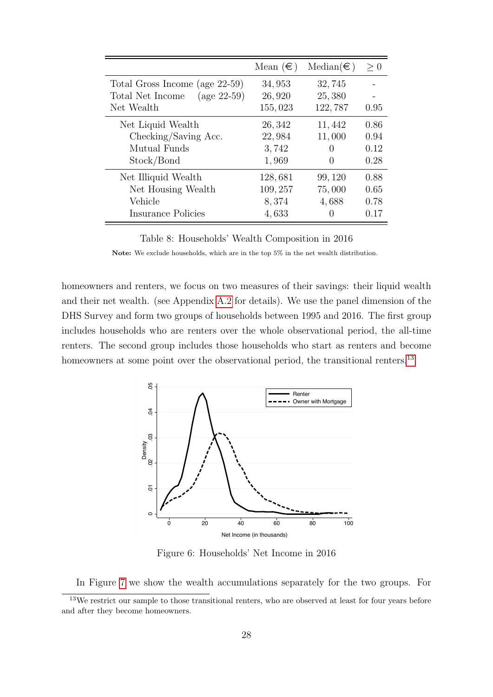<span id="page-27-0"></span>

|                                           | Mean $(\in)$ | $Median(\in)$ | > 0  |
|-------------------------------------------|--------------|---------------|------|
| Total Gross Income (age 22-59)            | 34,953       | 32,745        |      |
| $(\text{age } 22-59)$<br>Total Net Income | 26,920       | 25,380        |      |
| Net Wealth                                | 155,023      | 122,787       | 0.95 |
| Net Liquid Wealth                         | 26, 342      | 11,442        | 0.86 |
| Checking/Saving Acc.                      | 22,984       | 11,000        | 0.94 |
| Mutual Funds                              | 3,742        | 0             | 0.12 |
| Stock/Bond                                | 1,969        | $\cup$        | 0.28 |
| Net Illiquid Wealth                       | 128,681      | 99, 120       | 0.88 |
| Net Housing Wealth                        | 109, 257     | 75,000        | 0.65 |
| Vehicle                                   | 8,374        | 4,688         | 0.78 |
| Insurance Policies                        | 4,633        | $\mathcal{O}$ | 0.17 |

Table 8: Households' Wealth Composition in 2016

Note: We exclude households, which are in the top 5% in the net wealth distribution.

homeowners and renters, we focus on two measures of their savings: their liquid wealth and their net wealth. (see Appendix [A.2](#page-37-2) for details). We use the panel dimension of the DHS Survey and form two groups of households between 1995 and 2016. The first group includes households who are renters over the whole observational period, the all-time renters. The second group includes those households who start as renters and become homeowners at some point over the observational period, the transitional renters.<sup>[13](#page-27-2)</sup>

<span id="page-27-1"></span>

Figure 6: Households' Net Income in 2016

<span id="page-27-2"></span>In Figure [7](#page-28-0) we show the wealth accumulations separately for the two groups. For

<sup>&</sup>lt;sup>13</sup>We restrict our sample to those transitional renters, who are observed at least for four years before and after they become homeowners.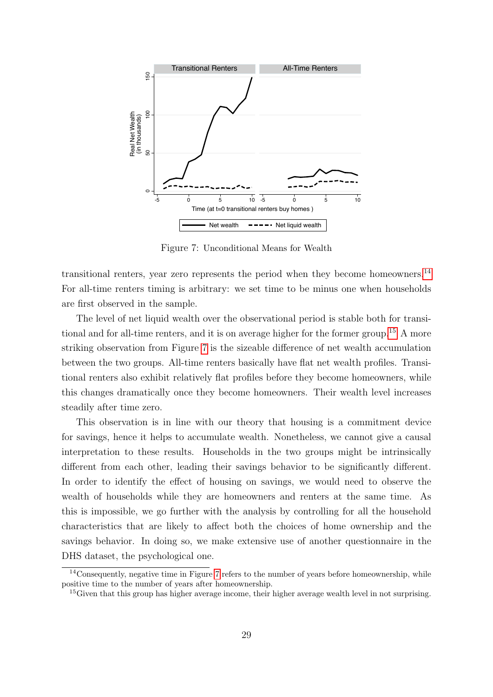<span id="page-28-0"></span>

Figure 7: Unconditional Means for Wealth

transitional renters, year zero represents the period when they become homeowners.<sup>[14](#page-28-1)</sup> For all-time renters timing is arbitrary: we set time to be minus one when households are first observed in the sample.

The level of net liquid wealth over the observational period is stable both for transitional and for all-time renters, and it is on average higher for the former group.[15](#page-28-2) A more striking observation from Figure [7](#page-28-0) is the sizeable difference of net wealth accumulation between the two groups. All-time renters basically have flat net wealth profiles. Transitional renters also exhibit relatively flat profiles before they become homeowners, while this changes dramatically once they become homeowners. Their wealth level increases steadily after time zero.

This observation is in line with our theory that housing is a commitment device for savings, hence it helps to accumulate wealth. Nonetheless, we cannot give a causal interpretation to these results. Households in the two groups might be intrinsically different from each other, leading their savings behavior to be significantly different. In order to identify the effect of housing on savings, we would need to observe the wealth of households while they are homeowners and renters at the same time. As this is impossible, we go further with the analysis by controlling for all the household characteristics that are likely to affect both the choices of home ownership and the savings behavior. In doing so, we make extensive use of another questionnaire in the DHS dataset, the psychological one.

<span id="page-28-1"></span> $14$ Consequently, negative time in Figure [7](#page-28-0) refers to the number of years before homeownership, while positive time to the number of years after homeownership.

<span id="page-28-2"></span><sup>&</sup>lt;sup>15</sup>Given that this group has higher average income, their higher average wealth level in not surprising.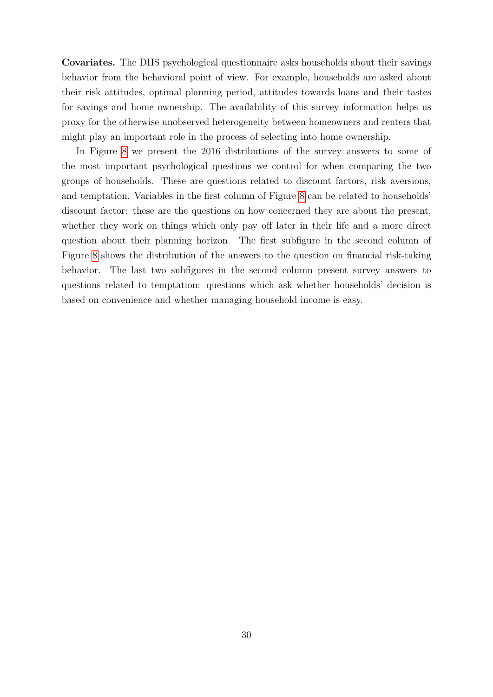Covariates. The DHS psychological questionnaire asks households about their savings behavior from the behavioral point of view. For example, households are asked about their risk attitudes, optimal planning period, attitudes towards loans and their tastes for savings and home ownership. The availability of this survey information helps us proxy for the otherwise unobserved heterogeneity between homeowners and renters that might play an important role in the process of selecting into home ownership.

In Figure [8](#page-30-0) we present the 2016 distributions of the survey answers to some of the most important psychological questions we control for when comparing the two groups of households. These are questions related to discount factors, risk aversions, and temptation. Variables in the first column of Figure [8](#page-30-0) can be related to households' discount factor: these are the questions on how concerned they are about the present, whether they work on things which only pay off later in their life and a more direct question about their planning horizon. The first subfigure in the second column of Figure [8](#page-30-0) shows the distribution of the answers to the question on financial risk-taking behavior. The last two subfigures in the second column present survey answers to questions related to temptation: questions which ask whether households' decision is based on convenience and whether managing household income is easy.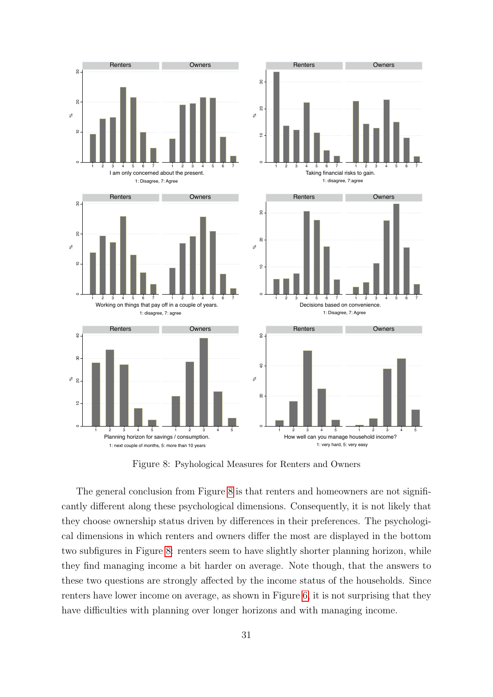<span id="page-30-0"></span>

Figure 8: Psyhological Measures for Renters and Owners

The general conclusion from Figure [8](#page-30-0) is that renters and homeowners are not significantly different along these psychological dimensions. Consequently, it is not likely that they choose ownership status driven by differences in their preferences. The psychological dimensions in which renters and owners differ the most are displayed in the bottom two subfigures in Figure [8:](#page-30-0) renters seem to have slightly shorter planning horizon, while they find managing income a bit harder on average. Note though, that the answers to these two questions are strongly affected by the income status of the households. Since renters have lower income on average, as shown in Figure [6,](#page-27-1) it is not surprising that they have difficulties with planning over longer horizons and with managing income.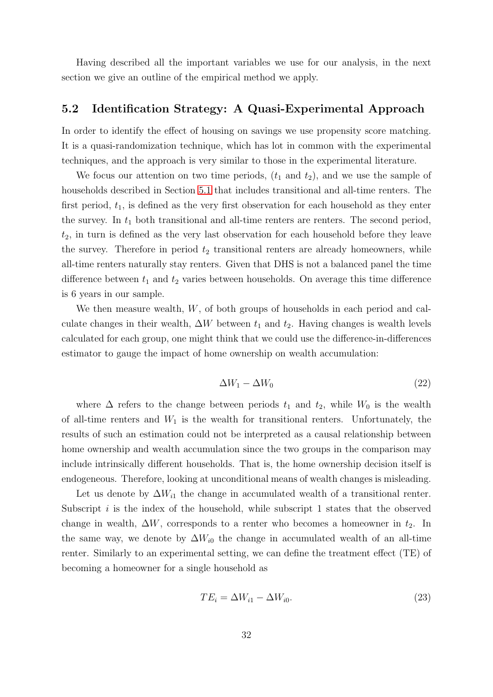Having described all the important variables we use for our analysis, in the next section we give an outline of the empirical method we apply.

### 5.2 Identification Strategy: A Quasi-Experimental Approach

In order to identify the effect of housing on savings we use propensity score matching. It is a quasi-randomization technique, which has lot in common with the experimental techniques, and the approach is very similar to those in the experimental literature.

We focus our attention on two time periods,  $(t_1 \text{ and } t_2)$ , and we use the sample of households described in Section [5.1](#page-26-3) that includes transitional and all-time renters. The first period,  $t_1$ , is defined as the very first observation for each household as they enter the survey. In  $t_1$  both transitional and all-time renters are renters. The second period,  $t_2$ , in turn is defined as the very last observation for each household before they leave the survey. Therefore in period  $t_2$  transitional renters are already homeowners, while all-time renters naturally stay renters. Given that DHS is not a balanced panel the time difference between  $t_1$  and  $t_2$  varies between households. On average this time difference is 6 years in our sample.

We then measure wealth, W, of both groups of households in each period and calculate changes in their wealth,  $\Delta W$  between  $t_1$  and  $t_2$ . Having changes is wealth levels calculated for each group, one might think that we could use the difference-in-differences estimator to gauge the impact of home ownership on wealth accumulation:

$$
\Delta W_1 - \Delta W_0 \tag{22}
$$

where  $\Delta$  refers to the change between periods  $t_1$  and  $t_2$ , while  $W_0$  is the wealth of all-time renters and  $W_1$  is the wealth for transitional renters. Unfortunately, the results of such an estimation could not be interpreted as a causal relationship between home ownership and wealth accumulation since the two groups in the comparison may include intrinsically different households. That is, the home ownership decision itself is endogeneous. Therefore, looking at unconditional means of wealth changes is misleading.

Let us denote by  $\Delta W_{i1}$  the change in accumulated wealth of a transitional renter. Subscript  $i$  is the index of the household, while subscript 1 states that the observed change in wealth,  $\Delta W$ , corresponds to a renter who becomes a homeowner in  $t_2$ . In the same way, we denote by  $\Delta W_{i0}$  the change in accumulated wealth of an all-time renter. Similarly to an experimental setting, we can define the treatment effect (TE) of becoming a homeowner for a single household as

$$
TE_i = \Delta W_{i1} - \Delta W_{i0}.\tag{23}
$$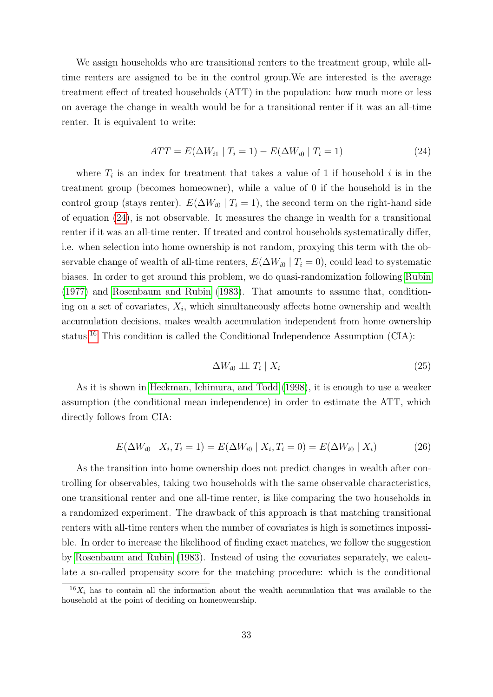We assign households who are transitional renters to the treatment group, while alltime renters are assigned to be in the control group.We are interested is the average treatment effect of treated households (ATT) in the population: how much more or less on average the change in wealth would be for a transitional renter if it was an all-time renter. It is equivalent to write:

<span id="page-32-0"></span>
$$
ATT = E(\Delta W_{i1} | T_i = 1) - E(\Delta W_{i0} | T_i = 1)
$$
\n(24)

where  $T_i$  is an index for treatment that takes a value of 1 if household i is in the treatment group (becomes homeowner), while a value of 0 if the household is in the control group (stays renter).  $E(\Delta W_{i0} | T_i = 1)$ , the second term on the right-hand side of equation [\(24\)](#page-32-0), is not observable. It measures the change in wealth for a transitional renter if it was an all-time renter. If treated and control households systematically differ, i.e. when selection into home ownership is not random, proxying this term with the observable change of wealth of all-time renters,  $E(\Delta W_{i0} | T_i = 0)$ , could lead to systematic biases. In order to get around this problem, we do quasi-randomization following [Rubin](#page-45-4) [\(1977\)](#page-45-4) and [Rosenbaum and Rubin](#page-45-5) [\(1983\)](#page-45-5). That amounts to assume that, conditioning on a set of covariates,  $X_i$ , which simultaneously affects home ownership and wealth accumulation decisions, makes wealth accumulation independent from home ownership status.[16](#page-32-1) This condition is called the Conditional Independence Assumption (CIA):

$$
\Delta W_{i0} \perp \!\!\!\perp T_i \mid X_i \tag{25}
$$

As it is shown in [Heckman, Ichimura, and Todd](#page-44-6) [\(1998\)](#page-44-6), it is enough to use a weaker assumption (the conditional mean independence) in order to estimate the ATT, which directly follows from CIA:

<span id="page-32-2"></span>
$$
E(\Delta W_{i0} \mid X_i, T_i = 1) = E(\Delta W_{i0} \mid X_i, T_i = 0) = E(\Delta W_{i0} \mid X_i)
$$
\n(26)

As the transition into home ownership does not predict changes in wealth after controlling for observables, taking two households with the same observable characteristics, one transitional renter and one all-time renter, is like comparing the two households in a randomized experiment. The drawback of this approach is that matching transitional renters with all-time renters when the number of covariates is high is sometimes impossible. In order to increase the likelihood of finding exact matches, we follow the suggestion by [Rosenbaum and Rubin](#page-45-5) [\(1983\)](#page-45-5). Instead of using the covariates separately, we calculate a so-called propensity score for the matching procedure: which is the conditional

<span id="page-32-1"></span> $\frac{16X_i}{16X_i}$  has to contain all the information about the wealth accumulation that was available to the household at the point of deciding on homeowenrship.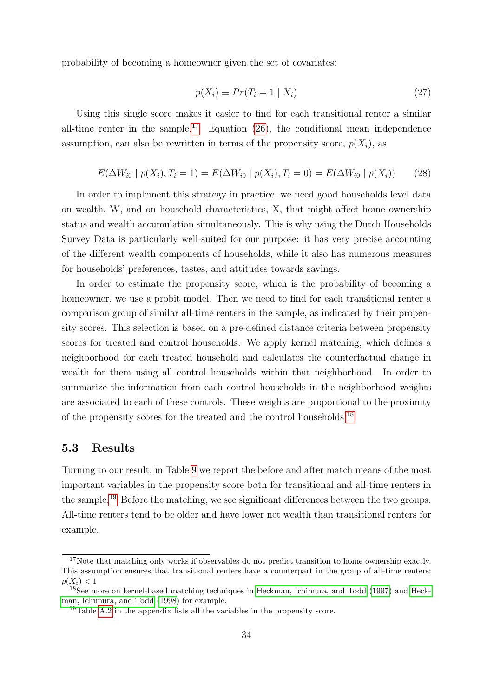probability of becoming a homeowner given the set of covariates:

$$
p(X_i) \equiv Pr(T_i = 1 \mid X_i)
$$
\n<sup>(27)</sup>

Using this single score makes it easier to find for each transitional renter a similar all-time renter in the sample.<sup>[17](#page-33-0)</sup> Equation  $(26)$ , the conditional mean independence assumption, can also be rewritten in terms of the propensity score,  $p(X<sub>i</sub>)$ , as

$$
E(\Delta W_{i0} \mid p(X_i), T_i = 1) = E(\Delta W_{i0} \mid p(X_i), T_i = 0) = E(\Delta W_{i0} \mid p(X_i))
$$
 (28)

In order to implement this strategy in practice, we need good households level data on wealth, W, and on household characteristics, X, that might affect home ownership status and wealth accumulation simultaneously. This is why using the Dutch Households Survey Data is particularly well-suited for our purpose: it has very precise accounting of the different wealth components of households, while it also has numerous measures for households' preferences, tastes, and attitudes towards savings.

In order to estimate the propensity score, which is the probability of becoming a homeowner, we use a probit model. Then we need to find for each transitional renter a comparison group of similar all-time renters in the sample, as indicated by their propensity scores. This selection is based on a pre-defined distance criteria between propensity scores for treated and control households. We apply kernel matching, which defines a neighborhood for each treated household and calculates the counterfactual change in wealth for them using all control households within that neighborhood. In order to summarize the information from each control households in the neighborhood weights are associated to each of these controls. These weights are proportional to the proximity of the propensity scores for the treated and the control households.[18](#page-33-1)

## 5.3 Results

Turning to our result, in Table [9](#page-34-0) we report the before and after match means of the most important variables in the propensity score both for transitional and all-time renters in the sample.[19](#page-33-2) Before the matching, we see significant differences between the two groups. All-time renters tend to be older and have lower net wealth than transitional renters for example.

<span id="page-33-0"></span><sup>&</sup>lt;sup>17</sup>Note that matching only works if observables do not predict transition to home ownership exactly. This assumption ensures that transitional renters have a counterpart in the group of all-time renters:  $p(X_i) < 1$ 

<span id="page-33-1"></span><sup>18</sup>See more on kernel-based matching techniques in [Heckman, Ichimura, and Todd](#page-44-7) [\(1997\)](#page-44-7) and [Heck](#page-44-6)[man, Ichimura, and Todd](#page-44-6) [\(1998\)](#page-44-6) for example.

<span id="page-33-2"></span><sup>19</sup>Table [A.2](#page-40-0) in the appendix lists all the variables in the propensity score.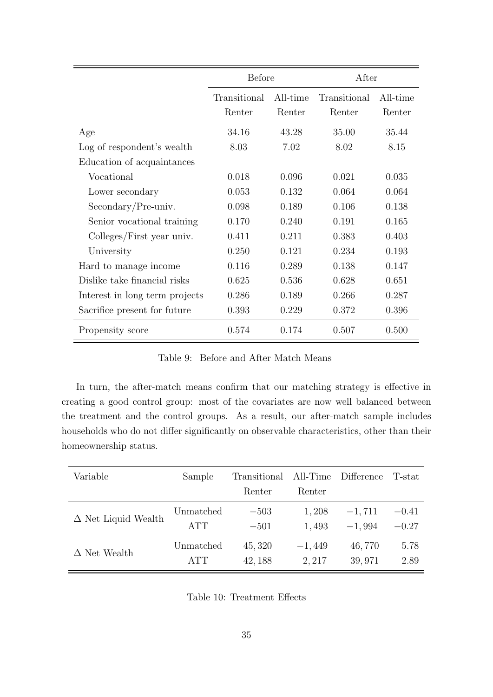<span id="page-34-0"></span>

|                                | Before                 |                    | After                  |                    |
|--------------------------------|------------------------|--------------------|------------------------|--------------------|
|                                | Transitional<br>Renter | All-time<br>Renter | Transitional<br>Renter | All-time<br>Renter |
| Age                            | 34.16                  | 43.28              | 35.00                  | 35.44              |
| Log of respondent's wealth     | 8.03                   | 7.02               | 8.02                   | 8.15               |
| Education of acquaintances     |                        |                    |                        |                    |
| Vocational                     | 0.018                  | 0.096              | 0.021                  | 0.035              |
| Lower secondary                | 0.053                  | 0.132              | 0.064                  | 0.064              |
| $Secondary/Pre-univ.$          | 0.098                  | 0.189              | 0.106                  | 0.138              |
| Senior vocational training     | 0.170                  | 0.240              | 0.191                  | 0.165              |
| Colleges/First year univ.      | 0.411                  | 0.211              | 0.383                  | 0.403              |
| University                     | 0.250                  | 0.121              | 0.234                  | 0.193              |
| Hard to manage income.         | 0.116                  | 0.289              | 0.138                  | 0.147              |
| Dislike take financial risks   | 0.625                  | 0.536              | 0.628                  | 0.651              |
| Interest in long term projects | 0.286                  | 0.189              | 0.266                  | 0.287              |
| Sacrifice present for future   | 0.393                  | 0.229              | 0.372                  | 0.396              |
| Propensity score               | 0.574                  | 0.174              | 0.507                  | 0.500              |

Table 9: Before and After Match Means

In turn, the after-match means confirm that our matching strategy is effective in creating a good control group: most of the covariates are now well balanced between the treatment and the control groups. As a result, our after-match sample includes households who do not differ significantly on observable characteristics, other than their homeownership status.

<span id="page-34-1"></span>

| Variable                   | Sample     | Transitional | All-Time | Difference | T-stat  |
|----------------------------|------------|--------------|----------|------------|---------|
|                            |            | Renter       | Renter   |            |         |
| $\Delta$ Net Liquid Wealth | Unmatched  | $-503$       | 1,208    | $-1,711$   | $-0.41$ |
|                            | <b>ATT</b> | $-501$       | 1,493    | $-1,994$   | $-0.27$ |
| $\Delta$ Net Wealth        | Unmatched  | 45, 320      | $-1,449$ | 46,770     | 5.78    |
|                            | <b>ATT</b> | 42, 188      | 2, 217   | 39,971     | 2.89    |

Table 10: Treatment Effects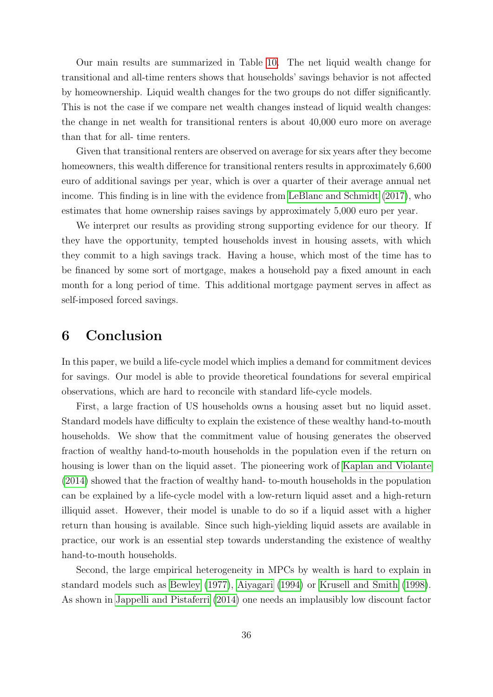Our main results are summarized in Table [10.](#page-34-1) The net liquid wealth change for transitional and all-time renters shows that households' savings behavior is not affected by homeownership. Liquid wealth changes for the two groups do not differ significantly. This is not the case if we compare net wealth changes instead of liquid wealth changes: the change in net wealth for transitional renters is about 40,000 euro more on average than that for all- time renters.

Given that transitional renters are observed on average for six years after they become homeowners, this wealth difference for transitional renters results in approximately 6,600 euro of additional savings per year, which is over a quarter of their average annual net income. This finding is in line with the evidence from [LeBlanc and Schmidt](#page-45-2) [\(2017\)](#page-45-2), who estimates that home ownership raises savings by approximately 5,000 euro per year.

We interpret our results as providing strong supporting evidence for our theory. If they have the opportunity, tempted households invest in housing assets, with which they commit to a high savings track. Having a house, which most of the time has to be financed by some sort of mortgage, makes a household pay a fixed amount in each month for a long period of time. This additional mortgage payment serves in affect as self-imposed forced savings.

## 6 Conclusion

In this paper, we build a life-cycle model which implies a demand for commitment devices for savings. Our model is able to provide theoretical foundations for several empirical observations, which are hard to reconcile with standard life-cycle models.

First, a large fraction of US households owns a housing asset but no liquid asset. Standard models have difficulty to explain the existence of these wealthy hand-to-mouth households. We show that the commitment value of housing generates the observed fraction of wealthy hand-to-mouth households in the population even if the return on housing is lower than on the liquid asset. The pioneering work of [Kaplan and Violante](#page-44-2) [\(2014\)](#page-44-2) showed that the fraction of wealthy hand- to-mouth households in the population can be explained by a life-cycle model with a low-return liquid asset and a high-return illiquid asset. However, their model is unable to do so if a liquid asset with a higher return than housing is available. Since such high-yielding liquid assets are available in practice, our work is an essential step towards understanding the existence of wealthy hand-to-mouth households.

Second, the large empirical heterogeneity in MPCs by wealth is hard to explain in standard models such as [Bewley](#page-42-1) [\(1977\)](#page-42-1), [Aiyagari](#page-42-2) [\(1994\)](#page-42-2) or [Krusell and Smith](#page-45-3) [\(1998\)](#page-45-3). As shown in [Jappelli and Pistaferri](#page-44-3) [\(2014\)](#page-44-3) one needs an implausibly low discount factor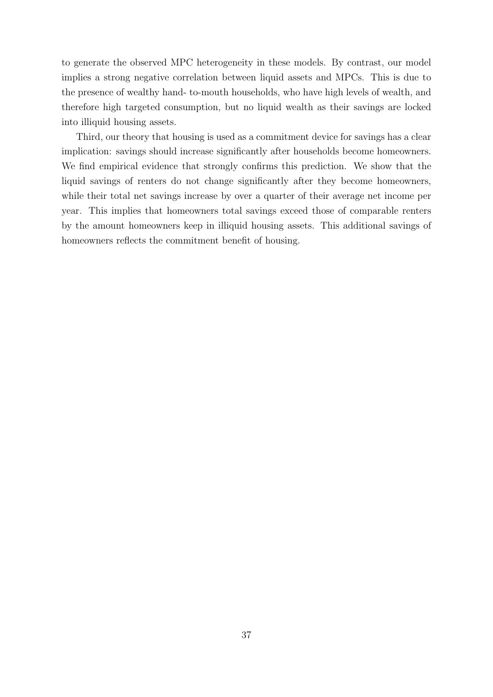to generate the observed MPC heterogeneity in these models. By contrast, our model implies a strong negative correlation between liquid assets and MPCs. This is due to the presence of wealthy hand- to-mouth households, who have high levels of wealth, and therefore high targeted consumption, but no liquid wealth as their savings are locked into illiquid housing assets.

Third, our theory that housing is used as a commitment device for savings has a clear implication: savings should increase significantly after households become homeowners. We find empirical evidence that strongly confirms this prediction. We show that the liquid savings of renters do not change significantly after they become homeowners, while their total net savings increase by over a quarter of their average net income per year. This implies that homeowners total savings exceed those of comparable renters by the amount homeowners keep in illiquid housing assets. This additional savings of homeowners reflects the commitment benefit of housing.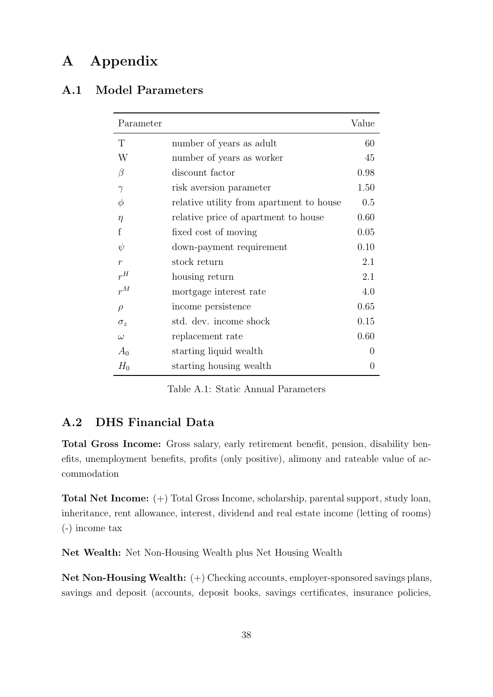## A Appendix

## <span id="page-37-1"></span><span id="page-37-0"></span>A.1 Model Parameters

| Parameter        |                                          | Value            |
|------------------|------------------------------------------|------------------|
| T                | number of years as adult                 | 60               |
| W                | number of years as worker                | 45               |
| $\beta$          | discount factor                          | 0.98             |
| $\gamma$         | risk aversion parameter                  | 1.50             |
| $\phi$           | relative utility from apartment to house | 0.5              |
| $\eta$           | relative price of apartment to house     | 0.60             |
| f                | fixed cost of moving                     | 0.05             |
| $\psi$           | down-payment requirement                 | 0.10             |
| $\boldsymbol{r}$ | stock return                             | 2.1              |
| $r^H$            | housing return                           | 2.1              |
| $r^M$            | mortgage interest rate                   | 4.0              |
| $\rho$           | income persistence                       | 0.65             |
| $\sigma_z$       | std. dev. income shock                   | 0.15             |
| $\omega$         | replacement rate                         | 0.60             |
| $A_0$            | starting liquid wealth                   | 0                |
| $H_0$            | starting housing wealth                  | $\left( \right)$ |

Table A.1: Static Annual Parameters

## <span id="page-37-2"></span>A.2 DHS Financial Data

Total Gross Income: Gross salary, early retirement benefit, pension, disability benefits, unemployment benefits, profits (only positive), alimony and rateable value of accommodation

Total Net Income: (+) Total Gross Income, scholarship, parental support, study loan, inheritance, rent allowance, interest, dividend and real estate income (letting of rooms) (-) income tax

Net Wealth: Net Non-Housing Wealth plus Net Housing Wealth

Net Non-Housing Wealth: (+) Checking accounts, employer-sponsored savings plans, savings and deposit (accounts, deposit books, savings certificates, insurance policies,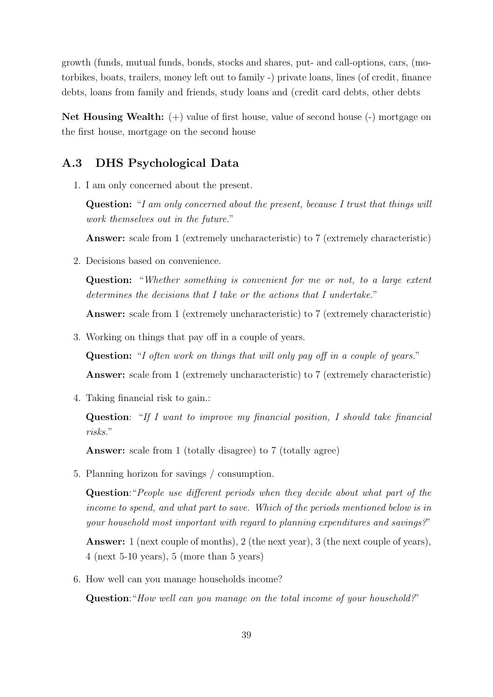growth (funds, mutual funds, bonds, stocks and shares, put- and call-options, cars, (motorbikes, boats, trailers, money left out to family -) private loans, lines (of credit, finance debts, loans from family and friends, study loans and (credit card debts, other debts

Net Housing Wealth: (+) value of first house, value of second house (-) mortgage on the first house, mortgage on the second house

## A.3 DHS Psychological Data

1. I am only concerned about the present.

Question: "I am only concerned about the present, because I trust that things will work themselves out in the future."

Answer: scale from 1 (extremely uncharacteristic) to 7 (extremely characteristic)

2. Decisions based on convenience.

Question: "Whether something is convenient for me or not, to a large extent determines the decisions that I take or the actions that I undertake."

Answer: scale from 1 (extremely uncharacteristic) to 7 (extremely characteristic)

3. Working on things that pay off in a couple of years.

Question: "I often work on things that will only pay off in a couple of years."

Answer: scale from 1 (extremely uncharacteristic) to 7 (extremely characteristic)

4. Taking financial risk to gain.:

Question: "If I want to improve my financial position, I should take financial risks."

Answer: scale from 1 (totally disagree) to 7 (totally agree)

5. Planning horizon for savings / consumption.

Question:"People use different periods when they decide about what part of the income to spend, and what part to save. Which of the periods mentioned below is in your household most important with regard to planning expenditures and savings?"

Answer: 1 (next couple of months), 2 (the next year), 3 (the next couple of years), 4 (next 5-10 years), 5 (more than 5 years)

6. How well can you manage households income?

Question: "How well can you manage on the total income of your household?"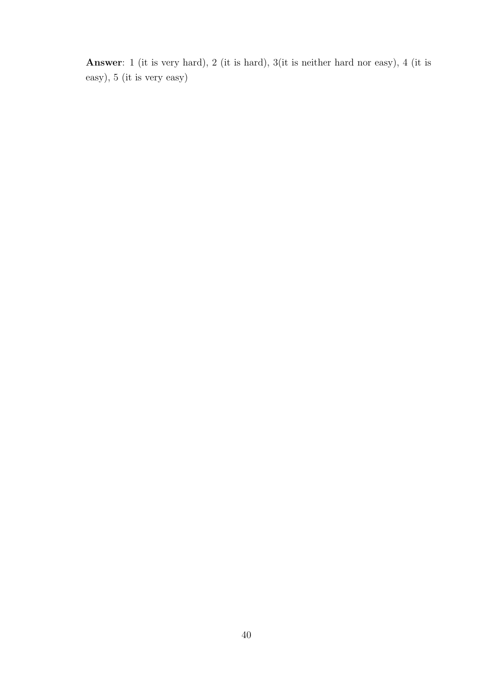Answer: 1 (it is very hard), 2 (it is hard), 3(it is neither hard nor easy), 4 (it is easy), 5 (it is very easy)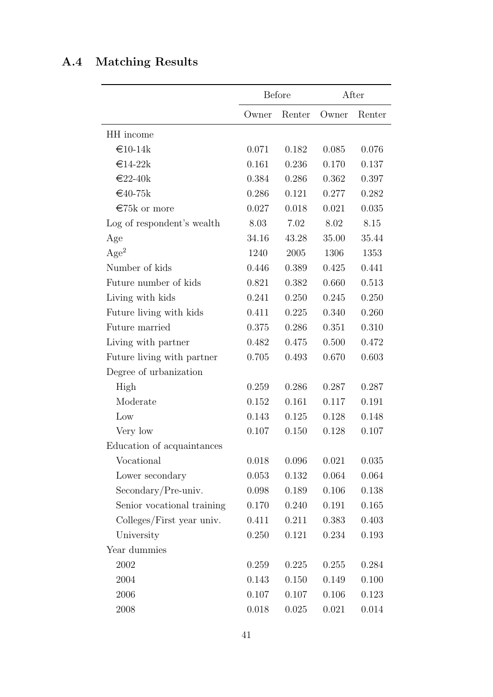## <span id="page-40-0"></span>A.4 Matching Results

|                            |       | <b>Before</b> |       | After  |
|----------------------------|-------|---------------|-------|--------|
|                            | Owner | Renter        | Owner | Renter |
| HH income                  |       |               |       |        |
| $€10-14k$                  | 0.071 | 0.182         | 0.085 | 0.076  |
| $€14-22k$                  | 0.161 | 0.236         | 0.170 | 0.137  |
| $€22-40k$                  | 0.384 | 0.286         | 0.362 | 0.397  |
| $€40-75k$                  | 0.286 | 0.121         | 0.277 | 0.282  |
| €75 $k$ or more            | 0.027 | 0.018         | 0.021 | 0.035  |
| Log of respondent's wealth | 8.03  | 7.02          | 8.02  | 8.15   |
| Age                        | 34.16 | 43.28         | 35.00 | 35.44  |
| Age <sup>2</sup>           | 1240  | 2005          | 1306  | 1353   |
| Number of kids             | 0.446 | 0.389         | 0.425 | 0.441  |
| Future number of kids      | 0.821 | 0.382         | 0.660 | 0.513  |
| Living with kids           | 0.241 | 0.250         | 0.245 | 0.250  |
| Future living with kids    | 0.411 | 0.225         | 0.340 | 0.260  |
| Future married             | 0.375 | 0.286         | 0.351 | 0.310  |
| Living with partner        | 0.482 | 0.475         | 0.500 | 0.472  |
| Future living with partner | 0.705 | 0.493         | 0.670 | 0.603  |
| Degree of urbanization     |       |               |       |        |
| High                       | 0.259 | 0.286         | 0.287 | 0.287  |
| Moderate                   | 0.152 | 0.161         | 0.117 | 0.191  |
| Low                        | 0.143 | 0.125         | 0.128 | 0.148  |
| Very low                   | 0.107 | 0.150         | 0.128 | 0.107  |
| Education of acquaintances |       |               |       |        |
| Vocational                 | 0.018 | 0.096         | 0.021 | 0.035  |
| Lower secondary            | 0.053 | 0.132         | 0.064 | 0.064  |
| Secondary/Pre-univ.        | 0.098 | 0.189         | 0.106 | 0.138  |
| Senior vocational training | 0.170 | 0.240         | 0.191 | 0.165  |
| Colleges/First year univ.  | 0.411 | 0.211         | 0.383 | 0.403  |
| University                 | 0.250 | 0.121         | 0.234 | 0.193  |
| Year dummies               |       |               |       |        |
| 2002                       | 0.259 | 0.225         | 0.255 | 0.284  |
| 2004                       | 0.143 | 0.150         | 0.149 | 0.100  |
| 2006                       | 0.107 | 0.107         | 0.106 | 0.123  |
| 2008                       | 0.018 | 0.025         | 0.021 | 0.014  |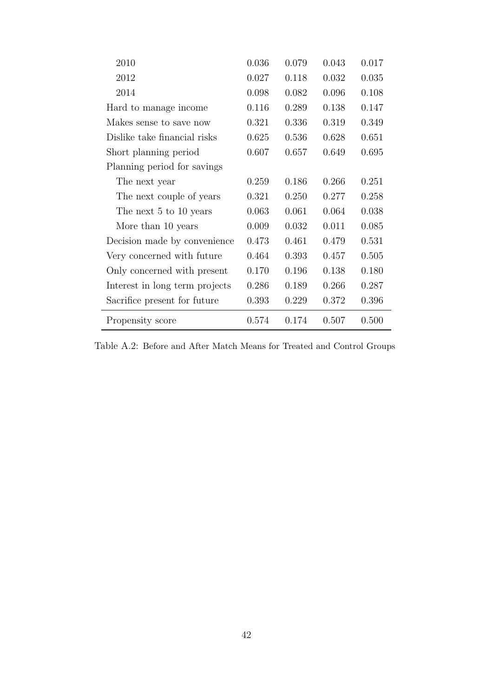| 2010                           | 0.036 | 0.079 | 0.043 | 0.017 |
|--------------------------------|-------|-------|-------|-------|
| 2012                           | 0.027 | 0.118 | 0.032 | 0.035 |
| 2014                           | 0.098 | 0.082 | 0.096 | 0.108 |
| Hard to manage income.         | 0.116 | 0.289 | 0.138 | 0.147 |
| Makes sense to save now        | 0.321 | 0.336 | 0.319 | 0.349 |
| Dislike take financial risks   | 0.625 | 0.536 | 0.628 | 0.651 |
| Short planning period          | 0.607 | 0.657 | 0.649 | 0.695 |
| Planning period for savings    |       |       |       |       |
| The next year                  | 0.259 | 0.186 | 0.266 | 0.251 |
| The next couple of years       | 0.321 | 0.250 | 0.277 | 0.258 |
| The next 5 to 10 years         | 0.063 | 0.061 | 0.064 | 0.038 |
| More than 10 years             | 0.009 | 0.032 | 0.011 | 0.085 |
| Decision made by convenience   | 0.473 | 0.461 | 0.479 | 0.531 |
| Very concerned with future     | 0.464 | 0.393 | 0.457 | 0.505 |
| Only concerned with present    | 0.170 | 0.196 | 0.138 | 0.180 |
| Interest in long term projects | 0.286 | 0.189 | 0.266 | 0.287 |
| Sacrifice present for future   | 0.393 | 0.229 | 0.372 | 0.396 |
| Propensity score               | 0.574 | 0.174 | 0.507 | 0.500 |

Table A.2: Before and After Match Means for Treated and Control Groups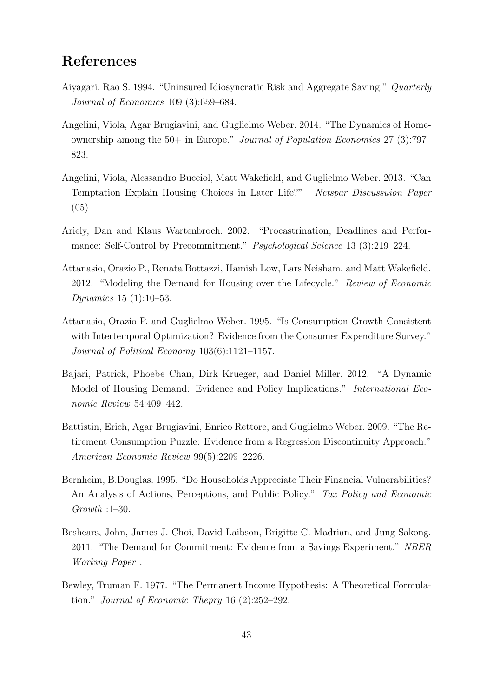## References

- <span id="page-42-2"></span>Aiyagari, Rao S. 1994. "Uninsured Idiosyncratic Risk and Aggregate Saving." Quarterly Journal of Economics 109 (3):659–684.
- Angelini, Viola, Agar Brugiavini, and Guglielmo Weber. 2014. "The Dynamics of Homeownership among the 50+ in Europe." Journal of Population Economics 27 (3):797– 823.
- Angelini, Viola, Alessandro Bucciol, Matt Wakefield, and Guglielmo Weber. 2013. "Can Temptation Explain Housing Choices in Later Life?" Netspar Discussuion Paper  $(05).$
- Ariely, Dan and Klaus Wartenbroch. 2002. "Procastrination, Deadlines and Performance: Self-Control by Precommitment." Psychological Science 13 (3):219–224.
- <span id="page-42-0"></span>Attanasio, Orazio P., Renata Bottazzi, Hamish Low, Lars Neisham, and Matt Wakefield. 2012. "Modeling the Demand for Housing over the Lifecycle." Review of Economic Dynamics 15 (1):10–53.
- <span id="page-42-3"></span>Attanasio, Orazio P. and Guglielmo Weber. 1995. "Is Consumption Growth Consistent with Intertemporal Optimization? Evidence from the Consumer Expenditure Survey." Journal of Political Economy 103(6):1121–1157.
- Bajari, Patrick, Phoebe Chan, Dirk Krueger, and Daniel Miller. 2012. "A Dynamic Model of Housing Demand: Evidence and Policy Implications." International Economic Review 54:409–442.
- Battistin, Erich, Agar Brugiavini, Enrico Rettore, and Guglielmo Weber. 2009. "The Retirement Consumption Puzzle: Evidence from a Regression Discontinuity Approach." American Economic Review 99(5):2209–2226.
- Bernheim, B.Douglas. 1995. "Do Households Appreciate Their Financial Vulnerabilities? An Analysis of Actions, Perceptions, and Public Policy." Tax Policy and Economic Growth :1–30.
- Beshears, John, James J. Choi, David Laibson, Brigitte C. Madrian, and Jung Sakong. 2011. "The Demand for Commitment: Evidence from a Savings Experiment." NBER Working Paper .
- <span id="page-42-1"></span>Bewley, Truman F. 1977. "The Permanent Income Hypothesis: A Theoretical Formulation." Journal of Economic Thepry 16 (2):252–292.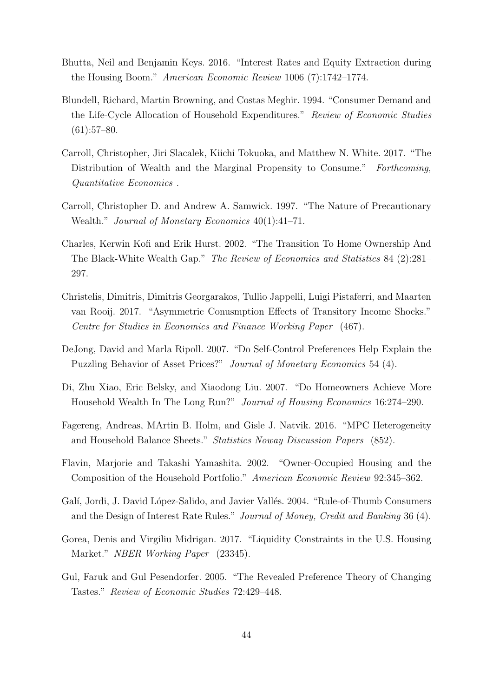- Bhutta, Neil and Benjamin Keys. 2016. "Interest Rates and Equity Extraction during the Housing Boom." American Economic Review 1006 (7):1742–1774.
- <span id="page-43-5"></span>Blundell, Richard, Martin Browning, and Costas Meghir. 1994. "Consumer Demand and the Life-Cycle Allocation of Household Expenditures." Review of Economic Studies  $(61):57-80.$
- <span id="page-43-3"></span>Carroll, Christopher, Jiri Slacalek, Kiichi Tokuoka, and Matthew N. White. 2017. "The Distribution of Wealth and the Marginal Propensity to Consume." Forthcoming, Quantitative Economics .
- Carroll, Christopher D. and Andrew A. Samwick. 1997. "The Nature of Precautionary Wealth." *Journal of Monetary Economics* 40(1):41–71.
- <span id="page-43-6"></span>Charles, Kerwin Kofi and Erik Hurst. 2002. "The Transition To Home Ownership And The Black-White Wealth Gap." The Review of Economics and Statistics 84 (2):281– 297.
- Christelis, Dimitris, Dimitris Georgarakos, Tullio Jappelli, Luigi Pistaferri, and Maarten van Rooij. 2017. "Asymmetric Conusmption Effects of Transitory Income Shocks." Centre for Studies in Economics and Finance Working Paper (467).
- DeJong, David and Marla Ripoll. 2007. "Do Self-Control Preferences Help Explain the Puzzling Behavior of Asset Prices?" Journal of Monetary Economics 54 (4).
- <span id="page-43-4"></span>Di, Zhu Xiao, Eric Belsky, and Xiaodong Liu. 2007. "Do Homeowners Achieve More Household Wealth In The Long Run?" Journal of Housing Economics 16:274–290.
- <span id="page-43-1"></span>Fagereng, Andreas, MArtin B. Holm, and Gisle J. Natvik. 2016. "MPC Heterogeneity and Household Balance Sheets." Statistics Noway Discussion Papers (852).
- <span id="page-43-0"></span>Flavin, Marjorie and Takashi Yamashita. 2002. "Owner-Occupied Housing and the Composition of the Household Portfolio." American Economic Review 92:345–362.
- <span id="page-43-2"></span>Galí, Jordi, J. David López-Salido, and Javier Vallés. 2004. "Rule-of-Thumb Consumers and the Design of Interest Rate Rules." Journal of Money, Credit and Banking 36 (4).
- Gorea, Denis and Virgiliu Midrigan. 2017. "Liquidity Constraints in the U.S. Housing Market." NBER Working Paper (23345).
- Gul, Faruk and Gul Pesendorfer. 2005. "The Revealed Preference Theory of Changing Tastes." Review of Economic Studies 72:429–448.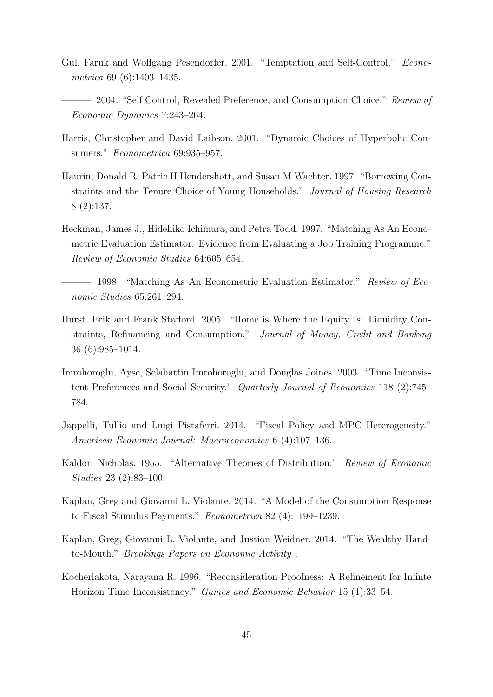- <span id="page-44-1"></span>Gul, Faruk and Wolfgang Pesendorfer. 2001. "Temptation and Self-Control." Econometrica 69 (6):1403–1435.
	- -. 2004. "Self Control, Revealed Preference, and Consumption Choice." Review of Economic Dynamics 7:243–264.
- Harris, Christopher and David Laibson. 2001. "Dynamic Choices of Hyperbolic Consumers." Econometrica 69:935–957.
- <span id="page-44-5"></span>Haurin, Donald R, Patric H Hendershott, and Susan M Wachter. 1997. "Borrowing Constraints and the Tenure Choice of Young Households." Journal of Housing Research 8 (2):137.
- <span id="page-44-7"></span>Heckman, James J., Hidehiko Ichimura, and Petra Todd. 1997. "Matching As An Econometric Evaluation Estimator: Evidence from Evaluating a Job Training Programme." Review of Economic Studies 64:605–654.
- <span id="page-44-6"></span>—. 1998. "Matching As An Econometric Evaluation Estimator." Review of Economic Studies 65:261–294.
- Hurst, Erik and Frank Stafford. 2005. "Home is Where the Equity Is: Liquidity Constraints, Refinancing and Consumption." Journal of Money, Credit and Banking 36 (6):985–1014.
- Imrohoroglu, Ayse, Selahattin Imrohoroglu, and Douglas Joines. 2003. "Time Inconsistent Preferences and Social Security." Quarterly Journal of Economics 118 (2):745– 784.
- <span id="page-44-3"></span>Jappelli, Tullio and Luigi Pistaferri. 2014. "Fiscal Policy and MPC Heterogeneity." American Economic Journal: Macroeconomics 6 (4):107–136.
- <span id="page-44-4"></span>Kaldor, Nicholas. 1955. "Alternative Theories of Distribution." Review of Economic Studies 23 (2):83–100.
- <span id="page-44-2"></span>Kaplan, Greg and Giovanni L. Violante. 2014. "A Model of the Consumption Response to Fiscal Stimulus Payments." Econometrica 82 (4):1199–1239.
- <span id="page-44-0"></span>Kaplan, Greg, Giovanni L. Violante, and Justion Weidner. 2014. "The Wealthy Handto-Mouth." Brookings Papers on Economic Activity .
- Kocherlakota, Narayana R. 1996. "Reconsideration-Proofness: A Refinement for Infinte Horizon Time Inconsistency." Games and Economic Behavior 15 (1):33–54.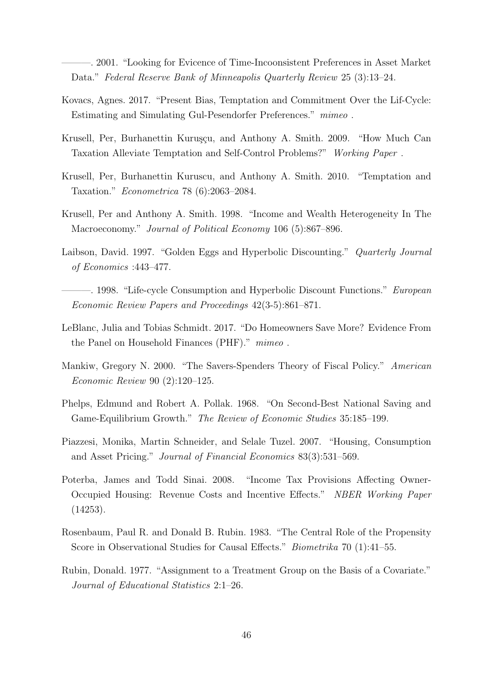———. 2001. "Looking for Evicence of Time-Incoonsistent Preferences in Asset Market Data." Federal Reserve Bank of Minneapolis Quarterly Review 25 (3):13–24.

- Kovacs, Agnes. 2017. "Present Bias, Temptation and Commitment Over the Lif-Cycle: Estimating and Simulating Gul-Pesendorfer Preferences." mimeo .
- Krusell, Per, Burhanettin Kuruşçu, and Anthony A. Smith. 2009. "How Much Can Taxation Alleviate Temptation and Self-Control Problems?" Working Paper .
- Krusell, Per, Burhanettin Kuruscu, and Anthony A. Smith. 2010. "Temptation and Taxation." Econometrica 78 (6):2063–2084.
- <span id="page-45-3"></span>Krusell, Per and Anthony A. Smith. 1998. "Income and Wealth Heterogeneity In The Macroeconomy." Journal of Political Economy 106 (5):867–896.
- Laibson, David. 1997. "Golden Eggs and Hyperbolic Discounting." Quarterly Journal of Economics :443–477.
	- ———. 1998. "Life-cycle Consumption and Hyperbolic Discount Functions." European Economic Review Papers and Proceedings 42(3-5):861–871.
- <span id="page-45-2"></span>LeBlanc, Julia and Tobias Schmidt. 2017. "Do Homeowners Save More? Evidence From the Panel on Household Finances (PHF)." mimeo.
- <span id="page-45-1"></span>Mankiw, Gregory N. 2000. "The Savers-Spenders Theory of Fiscal Policy." American Economic Review 90 (2):120–125.
- Phelps, Edmund and Robert A. Pollak. 1968. "On Second-Best National Saving and Game-Equilibrium Growth." The Review of Economic Studies 35:185–199.
- <span id="page-45-0"></span>Piazzesi, Monika, Martin Schneider, and Selale Tuzel. 2007. "Housing, Consumption and Asset Pricing." Journal of Financial Economics 83(3):531–569.
- Poterba, James and Todd Sinai. 2008. "Income Tax Provisions Affecting Owner-Occupied Housing: Revenue Costs and Incentive Effects." NBER Working Paper (14253).
- <span id="page-45-5"></span>Rosenbaum, Paul R. and Donald B. Rubin. 1983. "The Central Role of the Propensity Score in Observational Studies for Causal Effects." Biometrika 70 (1):41–55.
- <span id="page-45-4"></span>Rubin, Donald. 1977. "Assignment to a Treatment Group on the Basis of a Covariate." Journal of Educational Statistics 2:1–26.